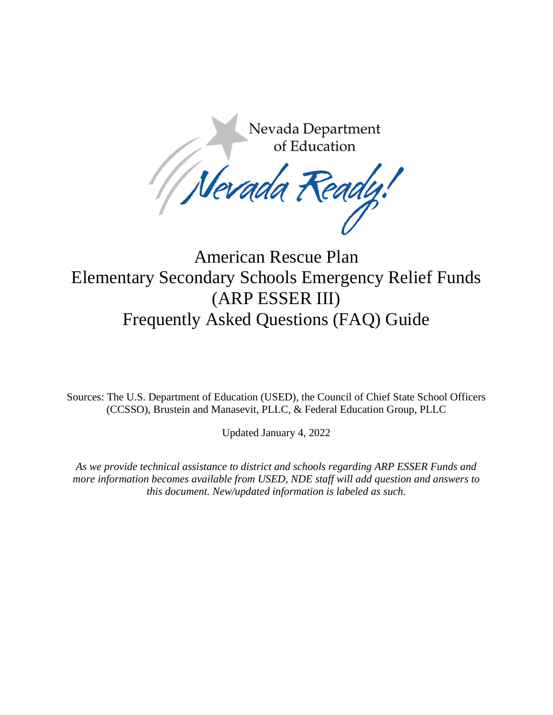Nevada Department Nevada Department<br>of Education<br>Nevada Ready!

# American Rescue Plan Elementary Secondary Schools Emergency Relief Funds (ARP ESSER III) Frequently Asked Questions (FAQ) Guide

Sources: The U.S. Department of Education (USED), the Council of Chief State School Officers (CCSSO), Brustein and Manasevit, PLLC, & Federal Education Group, PLLC

Updated January 4, 2022

*As we provide technical assistance to district and schools regarding ARP ESSER Funds and more information becomes available from USED, NDE staff will add question and answers to this document. New/updated information is labeled as such.*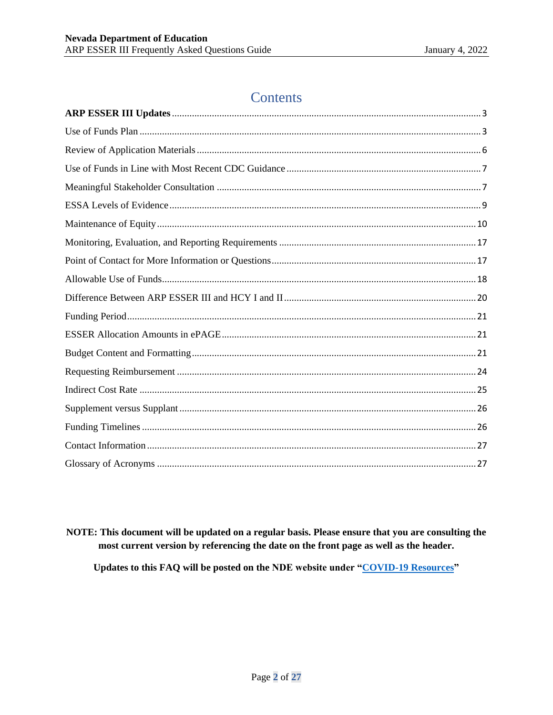# **Contents**

NOTE: This document will be updated on a regular basis. Please ensure that you are consulting the most current version by referencing the date on the front page as well as the header.

Updates to this FAQ will be posted on the NDE website under "COVID-19 Resources"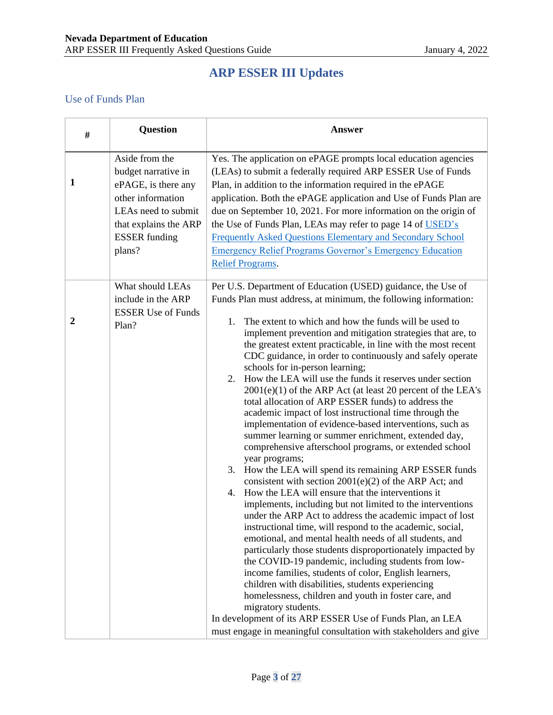# **ARP ESSER III Updates**

#### <span id="page-2-1"></span><span id="page-2-0"></span>Use of Funds Plan

| #                | Question                                                                                                                                                            | <b>Answer</b>                                                                                                                                                                                                                                                                                                                                                                                                                                                                                                                                                                                                                                                                                                                                                                                                                                                                                                                                                                                                                                                                                                                                                                                                                                                                                                                                                                                                                                                                                                                                                                                                                                                                                                                                                         |
|------------------|---------------------------------------------------------------------------------------------------------------------------------------------------------------------|-----------------------------------------------------------------------------------------------------------------------------------------------------------------------------------------------------------------------------------------------------------------------------------------------------------------------------------------------------------------------------------------------------------------------------------------------------------------------------------------------------------------------------------------------------------------------------------------------------------------------------------------------------------------------------------------------------------------------------------------------------------------------------------------------------------------------------------------------------------------------------------------------------------------------------------------------------------------------------------------------------------------------------------------------------------------------------------------------------------------------------------------------------------------------------------------------------------------------------------------------------------------------------------------------------------------------------------------------------------------------------------------------------------------------------------------------------------------------------------------------------------------------------------------------------------------------------------------------------------------------------------------------------------------------------------------------------------------------------------------------------------------------|
| 1                | Aside from the<br>budget narrative in<br>ePAGE, is there any<br>other information<br>LEAs need to submit<br>that explains the ARP<br><b>ESSER</b> funding<br>plans? | Yes. The application on ePAGE prompts local education agencies<br>(LEAs) to submit a federally required ARP ESSER Use of Funds<br>Plan, in addition to the information required in the ePAGE<br>application. Both the ePAGE application and Use of Funds Plan are<br>due on September 10, 2021. For more information on the origin of<br>the Use of Funds Plan, LEAs may refer to page 14 of USED's<br><b>Frequently Asked Questions Elementary and Secondary School</b><br><b>Emergency Relief Programs Governor's Emergency Education</b><br><b>Relief Programs.</b>                                                                                                                                                                                                                                                                                                                                                                                                                                                                                                                                                                                                                                                                                                                                                                                                                                                                                                                                                                                                                                                                                                                                                                                                |
| $\boldsymbol{2}$ | What should LEAs<br>include in the ARP<br><b>ESSER Use of Funds</b><br>Plan?                                                                                        | Per U.S. Department of Education (USED) guidance, the Use of<br>Funds Plan must address, at minimum, the following information:<br>The extent to which and how the funds will be used to<br>1.<br>implement prevention and mitigation strategies that are, to<br>the greatest extent practicable, in line with the most recent<br>CDC guidance, in order to continuously and safely operate<br>schools for in-person learning;<br>2. How the LEA will use the funds it reserves under section<br>$2001(e)(1)$ of the ARP Act (at least 20 percent of the LEA's<br>total allocation of ARP ESSER funds) to address the<br>academic impact of lost instructional time through the<br>implementation of evidence-based interventions, such as<br>summer learning or summer enrichment, extended day,<br>comprehensive afterschool programs, or extended school<br>year programs;<br>3. How the LEA will spend its remaining ARP ESSER funds<br>consistent with section $2001(e)(2)$ of the ARP Act; and<br>How the LEA will ensure that the interventions it<br>4.<br>implements, including but not limited to the interventions<br>under the ARP Act to address the academic impact of lost<br>instructional time, will respond to the academic, social,<br>emotional, and mental health needs of all students, and<br>particularly those students disproportionately impacted by<br>the COVID-19 pandemic, including students from low-<br>income families, students of color, English learners,<br>children with disabilities, students experiencing<br>homelessness, children and youth in foster care, and<br>migratory students.<br>In development of its ARP ESSER Use of Funds Plan, an LEA<br>must engage in meaningful consultation with stakeholders and give |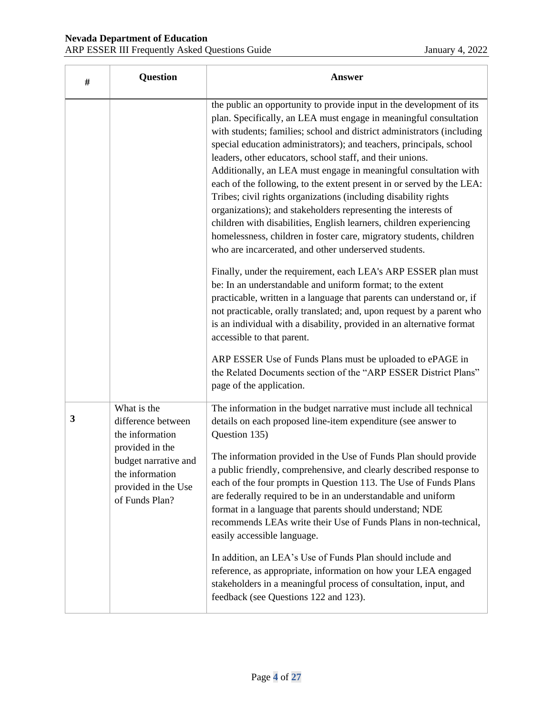| # | <b>Question</b>                                                                                                                                             | <b>Answer</b>                                                                                                                                                                                                                                                                                                                                                                                                                                                                                                                                                                                                                                                                                                                                                                                                                                                                                                                                                                                                                                                                                                                                                                                                                                                                                                                                                             |
|---|-------------------------------------------------------------------------------------------------------------------------------------------------------------|---------------------------------------------------------------------------------------------------------------------------------------------------------------------------------------------------------------------------------------------------------------------------------------------------------------------------------------------------------------------------------------------------------------------------------------------------------------------------------------------------------------------------------------------------------------------------------------------------------------------------------------------------------------------------------------------------------------------------------------------------------------------------------------------------------------------------------------------------------------------------------------------------------------------------------------------------------------------------------------------------------------------------------------------------------------------------------------------------------------------------------------------------------------------------------------------------------------------------------------------------------------------------------------------------------------------------------------------------------------------------|
|   |                                                                                                                                                             | the public an opportunity to provide input in the development of its<br>plan. Specifically, an LEA must engage in meaningful consultation<br>with students; families; school and district administrators (including<br>special education administrators); and teachers, principals, school<br>leaders, other educators, school staff, and their unions.<br>Additionally, an LEA must engage in meaningful consultation with<br>each of the following, to the extent present in or served by the LEA:<br>Tribes; civil rights organizations (including disability rights<br>organizations); and stakeholders representing the interests of<br>children with disabilities, English learners, children experiencing<br>homelessness, children in foster care, migratory students, children<br>who are incarcerated, and other underserved students.<br>Finally, under the requirement, each LEA's ARP ESSER plan must<br>be: In an understandable and uniform format; to the extent<br>practicable, written in a language that parents can understand or, if<br>not practicable, orally translated; and, upon request by a parent who<br>is an individual with a disability, provided in an alternative format<br>accessible to that parent.<br>ARP ESSER Use of Funds Plans must be uploaded to ePAGE in<br>the Related Documents section of the "ARP ESSER District Plans" |
|   |                                                                                                                                                             | page of the application.                                                                                                                                                                                                                                                                                                                                                                                                                                                                                                                                                                                                                                                                                                                                                                                                                                                                                                                                                                                                                                                                                                                                                                                                                                                                                                                                                  |
| 3 | What is the<br>difference between<br>the information<br>provided in the<br>budget narrative and<br>the information<br>provided in the Use<br>of Funds Plan? | The information in the budget narrative must include all technical<br>details on each proposed line-item expenditure (see answer to<br>Question 135)<br>The information provided in the Use of Funds Plan should provide<br>a public friendly, comprehensive, and clearly described response to<br>each of the four prompts in Question 113. The Use of Funds Plans<br>are federally required to be in an understandable and uniform<br>format in a language that parents should understand; NDE<br>recommends LEAs write their Use of Funds Plans in non-technical,<br>easily accessible language.                                                                                                                                                                                                                                                                                                                                                                                                                                                                                                                                                                                                                                                                                                                                                                       |
|   |                                                                                                                                                             | In addition, an LEA's Use of Funds Plan should include and<br>reference, as appropriate, information on how your LEA engaged<br>stakeholders in a meaningful process of consultation, input, and<br>feedback (see Questions 122 and 123).                                                                                                                                                                                                                                                                                                                                                                                                                                                                                                                                                                                                                                                                                                                                                                                                                                                                                                                                                                                                                                                                                                                                 |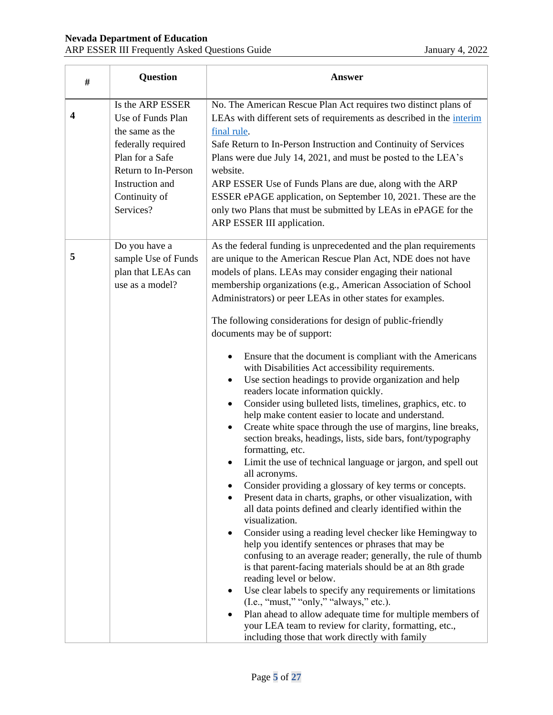| # | <b>Question</b>                                                                                                                                                           | <b>Answer</b>                                                                                                                                                                                                                                                                                                                                                                                                                                                                                                                                                                                                                                                                                                                                                                                                                                                                                                                                                                                                                                                                                                                                                                                                                                                                                                                                                                                                                                                                                                                                                                                                                                                                                                                                                                                                |
|---|---------------------------------------------------------------------------------------------------------------------------------------------------------------------------|--------------------------------------------------------------------------------------------------------------------------------------------------------------------------------------------------------------------------------------------------------------------------------------------------------------------------------------------------------------------------------------------------------------------------------------------------------------------------------------------------------------------------------------------------------------------------------------------------------------------------------------------------------------------------------------------------------------------------------------------------------------------------------------------------------------------------------------------------------------------------------------------------------------------------------------------------------------------------------------------------------------------------------------------------------------------------------------------------------------------------------------------------------------------------------------------------------------------------------------------------------------------------------------------------------------------------------------------------------------------------------------------------------------------------------------------------------------------------------------------------------------------------------------------------------------------------------------------------------------------------------------------------------------------------------------------------------------------------------------------------------------------------------------------------------------|
| 4 | Is the ARP ESSER<br>Use of Funds Plan<br>the same as the<br>federally required<br>Plan for a Safe<br>Return to In-Person<br>Instruction and<br>Continuity of<br>Services? | No. The American Rescue Plan Act requires two distinct plans of<br>LEAs with different sets of requirements as described in the interim<br>final rule.<br>Safe Return to In-Person Instruction and Continuity of Services<br>Plans were due July 14, 2021, and must be posted to the LEA's<br>website.<br>ARP ESSER Use of Funds Plans are due, along with the ARP<br>ESSER ePAGE application, on September 10, 2021. These are the<br>only two Plans that must be submitted by LEAs in ePAGE for the<br>ARP ESSER III application.                                                                                                                                                                                                                                                                                                                                                                                                                                                                                                                                                                                                                                                                                                                                                                                                                                                                                                                                                                                                                                                                                                                                                                                                                                                                          |
| 5 | Do you have a<br>sample Use of Funds<br>plan that LEAs can<br>use as a model?                                                                                             | As the federal funding is unprecedented and the plan requirements<br>are unique to the American Rescue Plan Act, NDE does not have<br>models of plans. LEAs may consider engaging their national<br>membership organizations (e.g., American Association of School<br>Administrators) or peer LEAs in other states for examples.<br>The following considerations for design of public-friendly<br>documents may be of support:<br>Ensure that the document is compliant with the Americans<br>with Disabilities Act accessibility requirements.<br>Use section headings to provide organization and help<br>٠<br>readers locate information quickly.<br>Consider using bulleted lists, timelines, graphics, etc. to<br>٠<br>help make content easier to locate and understand.<br>Create white space through the use of margins, line breaks,<br>section breaks, headings, lists, side bars, font/typography<br>formatting, etc.<br>Limit the use of technical language or jargon, and spell out<br>all acronyms.<br>Consider providing a glossary of key terms or concepts.<br>Present data in charts, graphs, or other visualization, with<br>$\bullet$<br>all data points defined and clearly identified within the<br>visualization.<br>Consider using a reading level checker like Hemingway to<br>٠<br>help you identify sentences or phrases that may be<br>confusing to an average reader; generally, the rule of thumb<br>is that parent-facing materials should be at an 8th grade<br>reading level or below.<br>Use clear labels to specify any requirements or limitations<br>$(I.e., "must," "only," "always," etc.).$<br>Plan ahead to allow adequate time for multiple members of<br>your LEA team to review for clarity, formatting, etc.,<br>including those that work directly with family |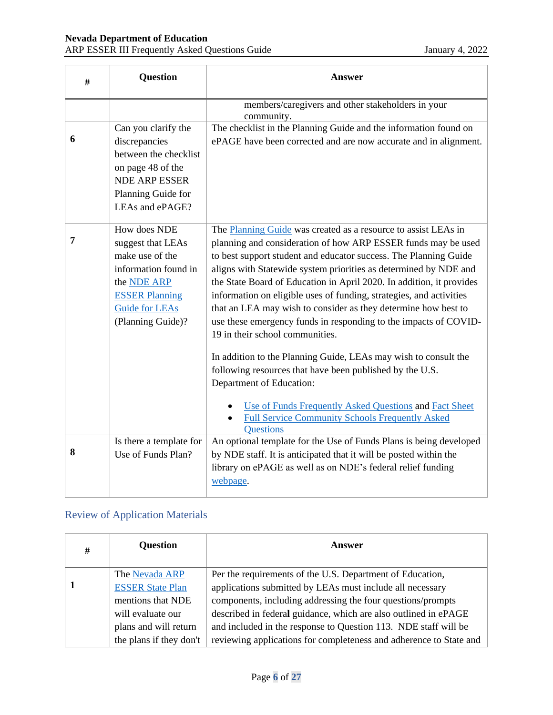| # | <b>Question</b>                                                                                                                                                           | <b>Answer</b>                                                                                                                                                                                                                                                                                                                                                                                                                                                                                                                                                                                                                                                                                                                                                                                                                                                                                      |
|---|---------------------------------------------------------------------------------------------------------------------------------------------------------------------------|----------------------------------------------------------------------------------------------------------------------------------------------------------------------------------------------------------------------------------------------------------------------------------------------------------------------------------------------------------------------------------------------------------------------------------------------------------------------------------------------------------------------------------------------------------------------------------------------------------------------------------------------------------------------------------------------------------------------------------------------------------------------------------------------------------------------------------------------------------------------------------------------------|
|   |                                                                                                                                                                           | members/caregivers and other stakeholders in your<br>community.                                                                                                                                                                                                                                                                                                                                                                                                                                                                                                                                                                                                                                                                                                                                                                                                                                    |
| 6 | Can you clarify the<br>discrepancies<br>between the checklist<br>on page 48 of the<br><b>NDE ARP ESSER</b><br>Planning Guide for<br>LEAs and ePAGE?                       | The checklist in the Planning Guide and the information found on<br>ePAGE have been corrected and are now accurate and in alignment.                                                                                                                                                                                                                                                                                                                                                                                                                                                                                                                                                                                                                                                                                                                                                               |
| 7 | How does NDE<br>suggest that LEAs<br>make use of the<br>information found in<br>the <b>NDE ARP</b><br><b>ESSER Planning</b><br><b>Guide for LEAs</b><br>(Planning Guide)? | The Planning Guide was created as a resource to assist LEAs in<br>planning and consideration of how ARP ESSER funds may be used<br>to best support student and educator success. The Planning Guide<br>aligns with Statewide system priorities as determined by NDE and<br>the State Board of Education in April 2020. In addition, it provides<br>information on eligible uses of funding, strategies, and activities<br>that an LEA may wish to consider as they determine how best to<br>use these emergency funds in responding to the impacts of COVID-<br>19 in their school communities.<br>In addition to the Planning Guide, LEAs may wish to consult the<br>following resources that have been published by the U.S.<br>Department of Education:<br>Use of Funds Frequently Asked Questions and Fact Sheet<br><b>Full Service Community Schools Frequently Asked</b><br><b>Questions</b> |
| 8 | Is there a template for<br>Use of Funds Plan?                                                                                                                             | An optional template for the Use of Funds Plans is being developed<br>by NDE staff. It is anticipated that it will be posted within the<br>library on ePAGE as well as on NDE's federal relief funding<br>webpage.                                                                                                                                                                                                                                                                                                                                                                                                                                                                                                                                                                                                                                                                                 |

## <span id="page-5-0"></span>Review of Application Materials

| # | <b>Question</b>         | Answer                                                             |
|---|-------------------------|--------------------------------------------------------------------|
|   | The Nevada ARP          | Per the requirements of the U.S. Department of Education,          |
|   | <b>ESSER State Plan</b> | applications submitted by LEAs must include all necessary          |
|   | mentions that NDE       | components, including addressing the four questions/prompts        |
|   | will evaluate our       | described in federal guidance, which are also outlined in ePAGE    |
|   | plans and will return   | and included in the response to Question 113. NDE staff will be    |
|   | the plans if they don't | reviewing applications for completeness and adherence to State and |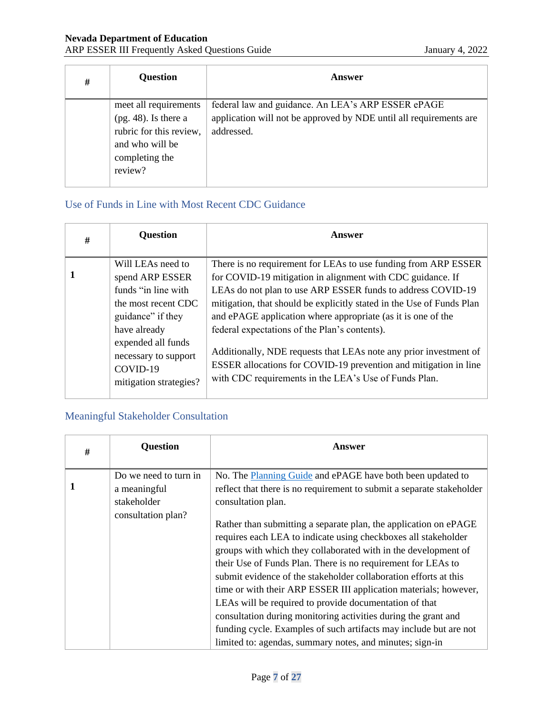#### **Nevada Department of Education** ARP ESSER III Frequently Asked Questions Guide January 4, 2022

| # | <b>Question</b>                                                         | Answer                                                                                                                   |
|---|-------------------------------------------------------------------------|--------------------------------------------------------------------------------------------------------------------------|
|   | meet all requirements<br>$(pg. 48)$ . Is there a                        | federal law and guidance. An LEA's ARP ESSER ePAGE<br>application will not be approved by NDE until all requirements are |
|   | rubric for this review,<br>and who will be<br>completing the<br>review? | addressed.                                                                                                               |

### <span id="page-6-0"></span>Use of Funds in Line with Most Recent CDC Guidance

| # | <b>Question</b>                                                                                                                                                                                             | Answer                                                                                                                                                                                                                                                                                                                                                                                                                                                                                                                                                                                  |
|---|-------------------------------------------------------------------------------------------------------------------------------------------------------------------------------------------------------------|-----------------------------------------------------------------------------------------------------------------------------------------------------------------------------------------------------------------------------------------------------------------------------------------------------------------------------------------------------------------------------------------------------------------------------------------------------------------------------------------------------------------------------------------------------------------------------------------|
|   | Will LEAs need to<br>spend ARP ESSER<br>funds "in line with<br>the most recent CDC<br>guidance" if they<br>have already<br>expended all funds<br>necessary to support<br>COVID-19<br>mitigation strategies? | There is no requirement for LEAs to use funding from ARP ESSER<br>for COVID-19 mitigation in alignment with CDC guidance. If<br>LEAs do not plan to use ARP ESSER funds to address COVID-19<br>mitigation, that should be explicitly stated in the Use of Funds Plan<br>and ePAGE application where appropriate (as it is one of the<br>federal expectations of the Plan's contents).<br>Additionally, NDE requests that LEAs note any prior investment of<br>ESSER allocations for COVID-19 prevention and mitigation in line<br>with CDC requirements in the LEA's Use of Funds Plan. |

### <span id="page-6-1"></span>Meaningful Stakeholder Consultation

| # | <b>Question</b>                                      | <b>Answer</b>                                                                                                                                                                                                                                                                                                                                                                                                                                                                                                                                                                                                                                                             |
|---|------------------------------------------------------|---------------------------------------------------------------------------------------------------------------------------------------------------------------------------------------------------------------------------------------------------------------------------------------------------------------------------------------------------------------------------------------------------------------------------------------------------------------------------------------------------------------------------------------------------------------------------------------------------------------------------------------------------------------------------|
| 1 | Do we need to turn in<br>a meaningful<br>stakeholder | No. The <b>Planning Guide</b> and ePAGE have both been updated to<br>reflect that there is no requirement to submit a separate stakeholder<br>consultation plan.                                                                                                                                                                                                                                                                                                                                                                                                                                                                                                          |
|   | consultation plan?                                   | Rather than submitting a separate plan, the application on ePAGE<br>requires each LEA to indicate using checkboxes all stakeholder<br>groups with which they collaborated with in the development of<br>their Use of Funds Plan. There is no requirement for LEAs to<br>submit evidence of the stakeholder collaboration efforts at this<br>time or with their ARP ESSER III application materials; however,<br>LEAs will be required to provide documentation of that<br>consultation during monitoring activities during the grant and<br>funding cycle. Examples of such artifacts may include but are not<br>limited to: agendas, summary notes, and minutes; sign-in |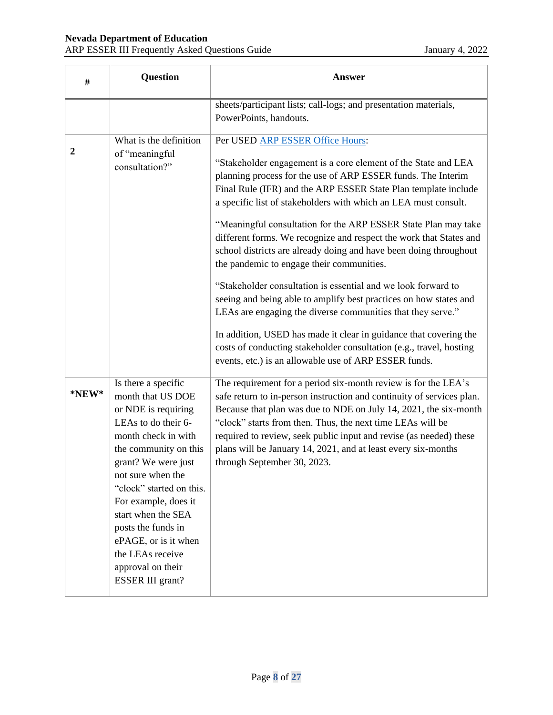| #                | <b>Question</b>                                                                                                                                                                                                                                                                                                                                                         | <b>Answer</b>                                                                                                                                                                                                                                                                                                                                                                                                                                                                                                                                                                                                                                                                                                                                                                                                                                                                                                                                                               |
|------------------|-------------------------------------------------------------------------------------------------------------------------------------------------------------------------------------------------------------------------------------------------------------------------------------------------------------------------------------------------------------------------|-----------------------------------------------------------------------------------------------------------------------------------------------------------------------------------------------------------------------------------------------------------------------------------------------------------------------------------------------------------------------------------------------------------------------------------------------------------------------------------------------------------------------------------------------------------------------------------------------------------------------------------------------------------------------------------------------------------------------------------------------------------------------------------------------------------------------------------------------------------------------------------------------------------------------------------------------------------------------------|
|                  |                                                                                                                                                                                                                                                                                                                                                                         | sheets/participant lists; call-logs; and presentation materials,<br>PowerPoints, handouts.                                                                                                                                                                                                                                                                                                                                                                                                                                                                                                                                                                                                                                                                                                                                                                                                                                                                                  |
| $\boldsymbol{2}$ | What is the definition<br>of "meaningful<br>consultation?"                                                                                                                                                                                                                                                                                                              | Per USED ARP ESSER Office Hours:<br>"Stakeholder engagement is a core element of the State and LEA<br>planning process for the use of ARP ESSER funds. The Interim<br>Final Rule (IFR) and the ARP ESSER State Plan template include<br>a specific list of stakeholders with which an LEA must consult.<br>"Meaningful consultation for the ARP ESSER State Plan may take<br>different forms. We recognize and respect the work that States and<br>school districts are already doing and have been doing throughout<br>the pandemic to engage their communities.<br>"Stakeholder consultation is essential and we look forward to<br>seeing and being able to amplify best practices on how states and<br>LEAs are engaging the diverse communities that they serve."<br>In addition, USED has made it clear in guidance that covering the<br>costs of conducting stakeholder consultation (e.g., travel, hosting<br>events, etc.) is an allowable use of ARP ESSER funds. |
| *NEW*            | Is there a specific<br>month that US DOE<br>or NDE is requiring<br>LEAs to do their 6-<br>month check in with<br>the community on this<br>grant? We were just<br>not sure when the<br>"clock" started on this.<br>For example, does it<br>start when the SEA<br>posts the funds in<br>ePAGE, or is it when<br>the LEAs receive<br>approval on their<br>ESSER III grant? | The requirement for a period six-month review is for the LEA's<br>safe return to in-person instruction and continuity of services plan.<br>Because that plan was due to NDE on July 14, 2021, the six-month<br>"clock" starts from then. Thus, the next time LEAs will be<br>required to review, seek public input and revise (as needed) these<br>plans will be January 14, 2021, and at least every six-months<br>through September 30, 2023.                                                                                                                                                                                                                                                                                                                                                                                                                                                                                                                             |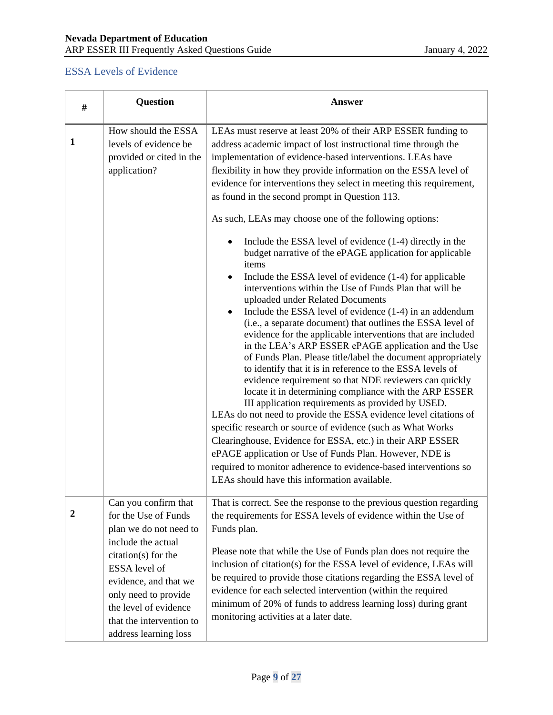### <span id="page-8-0"></span>ESSA Levels of Evidence

| #                | <b>Question</b>                                                                                                                              | <b>Answer</b>                                                                                                                                                                                                                                                                                                                                                                                                                                                                                                                                                                                                                                                                                                                                                                                                                                                                                                                                                                                                                                                                                                                                                                                                                                                                                                                                                                                                                                                                                                                                                                                                                        |
|------------------|----------------------------------------------------------------------------------------------------------------------------------------------|--------------------------------------------------------------------------------------------------------------------------------------------------------------------------------------------------------------------------------------------------------------------------------------------------------------------------------------------------------------------------------------------------------------------------------------------------------------------------------------------------------------------------------------------------------------------------------------------------------------------------------------------------------------------------------------------------------------------------------------------------------------------------------------------------------------------------------------------------------------------------------------------------------------------------------------------------------------------------------------------------------------------------------------------------------------------------------------------------------------------------------------------------------------------------------------------------------------------------------------------------------------------------------------------------------------------------------------------------------------------------------------------------------------------------------------------------------------------------------------------------------------------------------------------------------------------------------------------------------------------------------------|
| 1                | How should the ESSA<br>levels of evidence be<br>provided or cited in the<br>application?                                                     | LEAs must reserve at least 20% of their ARP ESSER funding to<br>address academic impact of lost instructional time through the<br>implementation of evidence-based interventions. LEAs have<br>flexibility in how they provide information on the ESSA level of<br>evidence for interventions they select in meeting this requirement,<br>as found in the second prompt in Question 113.<br>As such, LEAs may choose one of the following options:<br>Include the ESSA level of evidence (1-4) directly in the<br>budget narrative of the ePAGE application for applicable<br>items<br>Include the ESSA level of evidence (1-4) for applicable<br>interventions within the Use of Funds Plan that will be<br>uploaded under Related Documents<br>Include the ESSA level of evidence (1-4) in an addendum<br>(i.e., a separate document) that outlines the ESSA level of<br>evidence for the applicable interventions that are included<br>in the LEA's ARP ESSER ePAGE application and the Use<br>of Funds Plan. Please title/label the document appropriately<br>to identify that it is in reference to the ESSA levels of<br>evidence requirement so that NDE reviewers can quickly<br>locate it in determining compliance with the ARP ESSER<br>III application requirements as provided by USED.<br>LEAs do not need to provide the ESSA evidence level citations of<br>specific research or source of evidence (such as What Works<br>Clearinghouse, Evidence for ESSA, etc.) in their ARP ESSER<br>ePAGE application or Use of Funds Plan. However, NDE is<br>required to monitor adherence to evidence-based interventions so |
| $\boldsymbol{2}$ | Can you confirm that<br>for the Use of Funds<br>plan we do not need to<br>include the actual<br>citation(s) for the                          | LEAs should have this information available.<br>That is correct. See the response to the previous question regarding<br>the requirements for ESSA levels of evidence within the Use of<br>Funds plan.<br>Please note that while the Use of Funds plan does not require the                                                                                                                                                                                                                                                                                                                                                                                                                                                                                                                                                                                                                                                                                                                                                                                                                                                                                                                                                                                                                                                                                                                                                                                                                                                                                                                                                           |
|                  | ESSA level of<br>evidence, and that we<br>only need to provide<br>the level of evidence<br>that the intervention to<br>address learning loss | inclusion of citation(s) for the ESSA level of evidence, LEAs will<br>be required to provide those citations regarding the ESSA level of<br>evidence for each selected intervention (within the required<br>minimum of 20% of funds to address learning loss) during grant<br>monitoring activities at a later date.                                                                                                                                                                                                                                                                                                                                                                                                                                                                                                                                                                                                                                                                                                                                                                                                                                                                                                                                                                                                                                                                                                                                                                                                                                                                                                                 |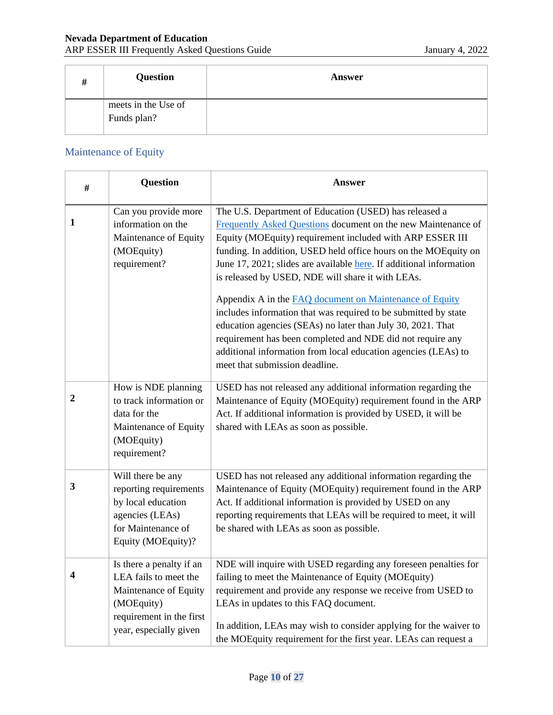| # | <b>Question</b>                    | Answer |
|---|------------------------------------|--------|
|   | meets in the Use of<br>Funds plan? |        |

### <span id="page-9-0"></span>Maintenance of Equity

| #                | <b>Question</b>                                                                                                                                | <b>Answer</b>                                                                                                                                                                                                                                                                                                                                                                       |
|------------------|------------------------------------------------------------------------------------------------------------------------------------------------|-------------------------------------------------------------------------------------------------------------------------------------------------------------------------------------------------------------------------------------------------------------------------------------------------------------------------------------------------------------------------------------|
| 1                | Can you provide more<br>information on the<br>Maintenance of Equity<br>(MOEquity)<br>requirement?                                              | The U.S. Department of Education (USED) has released a<br>Frequently Asked Questions document on the new Maintenance of<br>Equity (MOEquity) requirement included with ARP ESSER III<br>funding. In addition, USED held office hours on the MOEquity on<br>June 17, 2021; slides are available here. If additional information<br>is released by USED, NDE will share it with LEAs. |
|                  |                                                                                                                                                | Appendix A in the <b>FAQ</b> document on Maintenance of Equity<br>includes information that was required to be submitted by state<br>education agencies (SEAs) no later than July 30, 2021. That<br>requirement has been completed and NDE did not require any<br>additional information from local education agencies (LEAs) to<br>meet that submission deadline.                  |
| $\boldsymbol{2}$ | How is NDE planning<br>to track information or<br>data for the<br>Maintenance of Equity<br>(MOEquity)<br>requirement?                          | USED has not released any additional information regarding the<br>Maintenance of Equity (MOEquity) requirement found in the ARP<br>Act. If additional information is provided by USED, it will be<br>shared with LEAs as soon as possible.                                                                                                                                          |
| 3                | Will there be any<br>reporting requirements<br>by local education<br>agencies (LEAs)<br>for Maintenance of<br>Equity (MOEquity)?               | USED has not released any additional information regarding the<br>Maintenance of Equity (MOEquity) requirement found in the ARP<br>Act. If additional information is provided by USED on any<br>reporting requirements that LEAs will be required to meet, it will<br>be shared with LEAs as soon as possible.                                                                      |
|                  | Is there a penalty if an<br>LEA fails to meet the<br>Maintenance of Equity<br>(MOEquity)<br>requirement in the first<br>year, especially given | NDE will inquire with USED regarding any foreseen penalties for<br>failing to meet the Maintenance of Equity (MOEquity)<br>requirement and provide any response we receive from USED to<br>LEAs in updates to this FAQ document.<br>In addition, LEAs may wish to consider applying for the waiver to<br>the MOEquity requirement for the first year. LEAs can request a            |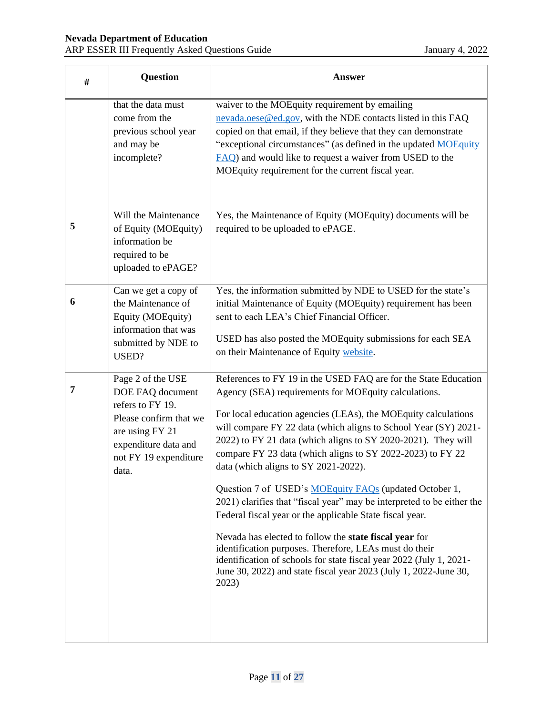| $\#$ | <b>Question</b>                                                                                                                                                  | <b>Answer</b>                                                                                                                                                                                                                                                                                                                                                                                                                                                                                                                                                                                                                                                                                                                                                                                                                                                                                               |
|------|------------------------------------------------------------------------------------------------------------------------------------------------------------------|-------------------------------------------------------------------------------------------------------------------------------------------------------------------------------------------------------------------------------------------------------------------------------------------------------------------------------------------------------------------------------------------------------------------------------------------------------------------------------------------------------------------------------------------------------------------------------------------------------------------------------------------------------------------------------------------------------------------------------------------------------------------------------------------------------------------------------------------------------------------------------------------------------------|
|      | that the data must<br>come from the<br>previous school year<br>and may be<br>incomplete?                                                                         | waiver to the MOEquity requirement by emailing<br>nevada.oese@ed.gov, with the NDE contacts listed in this FAQ<br>copied on that email, if they believe that they can demonstrate<br>"exceptional circumstances" (as defined in the updated MOEquity<br>FAQ) and would like to request a waiver from USED to the<br>MOEquity requirement for the current fiscal year.                                                                                                                                                                                                                                                                                                                                                                                                                                                                                                                                       |
| 5    | Will the Maintenance<br>of Equity (MOEquity)<br>information be<br>required to be<br>uploaded to ePAGE?                                                           | Yes, the Maintenance of Equity (MOEquity) documents will be<br>required to be uploaded to ePAGE.                                                                                                                                                                                                                                                                                                                                                                                                                                                                                                                                                                                                                                                                                                                                                                                                            |
| 6    | Can we get a copy of<br>the Maintenance of<br>Equity (MOEquity)<br>information that was<br>submitted by NDE to<br>USED?                                          | Yes, the information submitted by NDE to USED for the state's<br>initial Maintenance of Equity (MOEquity) requirement has been<br>sent to each LEA's Chief Financial Officer.<br>USED has also posted the MOEquity submissions for each SEA<br>on their Maintenance of Equity website.                                                                                                                                                                                                                                                                                                                                                                                                                                                                                                                                                                                                                      |
| 7    | Page 2 of the USE<br>DOE FAQ document<br>refers to FY 19.<br>Please confirm that we<br>are using FY 21<br>expenditure data and<br>not FY 19 expenditure<br>data. | References to FY 19 in the USED FAQ are for the State Education<br>Agency (SEA) requirements for MOEquity calculations.<br>For local education agencies (LEAs), the MOEquity calculations<br>will compare FY 22 data (which aligns to School Year (SY) 2021-<br>2022) to FY 21 data (which aligns to SY 2020-2021). They will<br>compare FY 23 data (which aligns to SY 2022-2023) to FY 22<br>data (which aligns to SY 2021-2022).<br>Question 7 of USED's MOEquity FAQs (updated October 1,<br>2021) clarifies that "fiscal year" may be interpreted to be either the<br>Federal fiscal year or the applicable State fiscal year.<br>Nevada has elected to follow the state fiscal year for<br>identification purposes. Therefore, LEAs must do their<br>identification of schools for state fiscal year 2022 (July 1, 2021-<br>June 30, 2022) and state fiscal year 2023 (July 1, 2022-June 30,<br>2023) |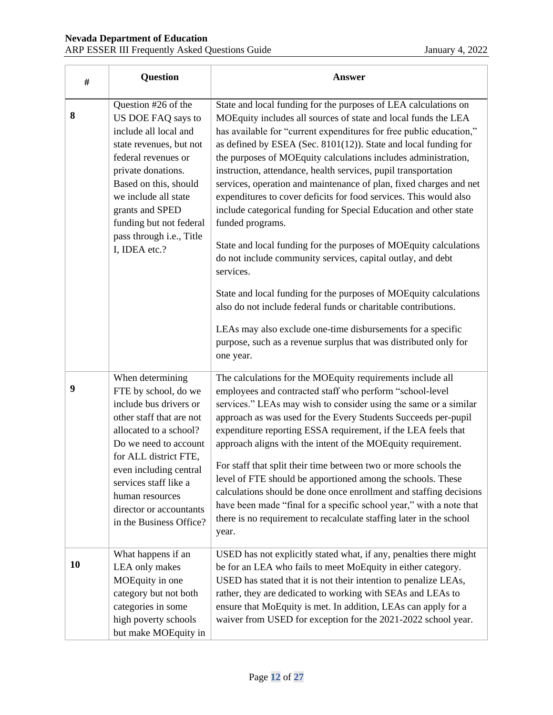| $\#$ | <b>Question</b>                                                                                                                                                                                                                                                                                        | <b>Answer</b>                                                                                                                                                                                                                                                                                                                                                                                                                                                                                                                                                                                                                                                                                                                                                                                                                                                                                                                                                                                                                                                                               |
|------|--------------------------------------------------------------------------------------------------------------------------------------------------------------------------------------------------------------------------------------------------------------------------------------------------------|---------------------------------------------------------------------------------------------------------------------------------------------------------------------------------------------------------------------------------------------------------------------------------------------------------------------------------------------------------------------------------------------------------------------------------------------------------------------------------------------------------------------------------------------------------------------------------------------------------------------------------------------------------------------------------------------------------------------------------------------------------------------------------------------------------------------------------------------------------------------------------------------------------------------------------------------------------------------------------------------------------------------------------------------------------------------------------------------|
| 8    | Question #26 of the<br>US DOE FAQ says to<br>include all local and<br>state revenues, but not<br>federal revenues or<br>private donations.<br>Based on this, should<br>we include all state<br>grants and SPED<br>funding but not federal<br>pass through i.e., Title<br>I, IDEA etc.?                 | State and local funding for the purposes of LEA calculations on<br>MOEquity includes all sources of state and local funds the LEA<br>has available for "current expenditures for free public education,"<br>as defined by ESEA (Sec. 8101(12)). State and local funding for<br>the purposes of MOEquity calculations includes administration,<br>instruction, attendance, health services, pupil transportation<br>services, operation and maintenance of plan, fixed charges and net<br>expenditures to cover deficits for food services. This would also<br>include categorical funding for Special Education and other state<br>funded programs.<br>State and local funding for the purposes of MOEquity calculations<br>do not include community services, capital outlay, and debt<br>services.<br>State and local funding for the purposes of MOEquity calculations<br>also do not include federal funds or charitable contributions.<br>LEAs may also exclude one-time disbursements for a specific<br>purpose, such as a revenue surplus that was distributed only for<br>one year. |
| 9    | When determining<br>FTE by school, do we<br>include bus drivers or<br>other staff that are not<br>allocated to a school?<br>Do we need to account<br>for ALL district FTE,<br>even including central<br>services staff like a<br>human resources<br>director or accountants<br>in the Business Office? | The calculations for the MOEquity requirements include all<br>employees and contracted staff who perform "school-level<br>services." LEAs may wish to consider using the same or a similar<br>approach as was used for the Every Students Succeeds per-pupil<br>expenditure reporting ESSA requirement, if the LEA feels that<br>approach aligns with the intent of the MOEquity requirement.<br>For staff that split their time between two or more schools the<br>level of FTE should be apportioned among the schools. These<br>calculations should be done once enrollment and staffing decisions<br>have been made "final for a specific school year," with a note that<br>there is no requirement to recalculate staffing later in the school<br>year.                                                                                                                                                                                                                                                                                                                                |
| 10   | What happens if an<br>LEA only makes<br>MOEquity in one<br>category but not both<br>categories in some<br>high poverty schools<br>but make MOEquity in                                                                                                                                                 | USED has not explicitly stated what, if any, penalties there might<br>be for an LEA who fails to meet MoEquity in either category.<br>USED has stated that it is not their intention to penalize LEAs,<br>rather, they are dedicated to working with SEAs and LEAs to<br>ensure that MoEquity is met. In addition, LEAs can apply for a<br>waiver from USED for exception for the 2021-2022 school year.                                                                                                                                                                                                                                                                                                                                                                                                                                                                                                                                                                                                                                                                                    |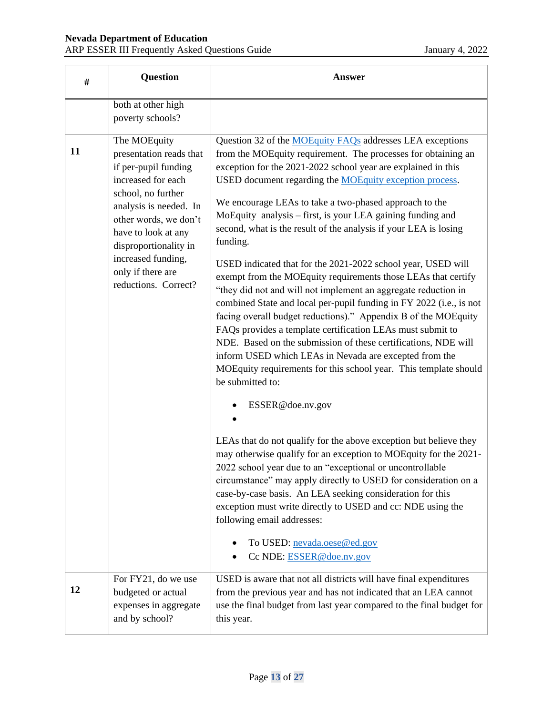| #  | Question                                                                                                                                                                                                                                                                          | <b>Answer</b>                                                                                                                                                                                                                                                                                                                                                                                                                                                                                                                                                                                                                                                                                                                                                                                                                                                                                                                                                                                                                                                                                                                                                                                                                                                                                                                                                                                                                                                                                                                                                                             |
|----|-----------------------------------------------------------------------------------------------------------------------------------------------------------------------------------------------------------------------------------------------------------------------------------|-------------------------------------------------------------------------------------------------------------------------------------------------------------------------------------------------------------------------------------------------------------------------------------------------------------------------------------------------------------------------------------------------------------------------------------------------------------------------------------------------------------------------------------------------------------------------------------------------------------------------------------------------------------------------------------------------------------------------------------------------------------------------------------------------------------------------------------------------------------------------------------------------------------------------------------------------------------------------------------------------------------------------------------------------------------------------------------------------------------------------------------------------------------------------------------------------------------------------------------------------------------------------------------------------------------------------------------------------------------------------------------------------------------------------------------------------------------------------------------------------------------------------------------------------------------------------------------------|
|    | both at other high<br>poverty schools?                                                                                                                                                                                                                                            |                                                                                                                                                                                                                                                                                                                                                                                                                                                                                                                                                                                                                                                                                                                                                                                                                                                                                                                                                                                                                                                                                                                                                                                                                                                                                                                                                                                                                                                                                                                                                                                           |
| 11 | The MOEquity<br>presentation reads that<br>if per-pupil funding<br>increased for each<br>school, no further<br>analysis is needed. In<br>other words, we don't<br>have to look at any<br>disproportionality in<br>increased funding,<br>only if there are<br>reductions. Correct? | Question 32 of the <b>MOEquity FAQs</b> addresses LEA exceptions<br>from the MOEquity requirement. The processes for obtaining an<br>exception for the 2021-2022 school year are explained in this<br>USED document regarding the MOEquity exception process.<br>We encourage LEAs to take a two-phased approach to the<br>MoEquity analysis - first, is your LEA gaining funding and<br>second, what is the result of the analysis if your LEA is losing<br>funding.<br>USED indicated that for the 2021-2022 school year, USED will<br>exempt from the MOEquity requirements those LEAs that certify<br>"they did not and will not implement an aggregate reduction in<br>combined State and local per-pupil funding in FY 2022 (i.e., is not<br>facing overall budget reductions)." Appendix B of the MOEquity<br>FAQs provides a template certification LEAs must submit to<br>NDE. Based on the submission of these certifications, NDE will<br>inform USED which LEAs in Nevada are excepted from the<br>MOEquity requirements for this school year. This template should<br>be submitted to:<br>ESSER@doe.nv.gov<br>LEAs that do not qualify for the above exception but believe they<br>may otherwise qualify for an exception to MOEquity for the 2021-<br>2022 school year due to an "exceptional or uncontrollable<br>circumstance" may apply directly to USED for consideration on a<br>case-by-case basis. An LEA seeking consideration for this<br>exception must write directly to USED and cc: NDE using the<br>following email addresses:<br>To USED: nevada.oese@ed.gov |
|    | For FY21, do we use                                                                                                                                                                                                                                                               | Cc NDE: ESSER@doe.nv.gov<br>USED is aware that not all districts will have final expenditures                                                                                                                                                                                                                                                                                                                                                                                                                                                                                                                                                                                                                                                                                                                                                                                                                                                                                                                                                                                                                                                                                                                                                                                                                                                                                                                                                                                                                                                                                             |
| 12 | budgeted or actual<br>expenses in aggregate<br>and by school?                                                                                                                                                                                                                     | from the previous year and has not indicated that an LEA cannot<br>use the final budget from last year compared to the final budget for<br>this year.                                                                                                                                                                                                                                                                                                                                                                                                                                                                                                                                                                                                                                                                                                                                                                                                                                                                                                                                                                                                                                                                                                                                                                                                                                                                                                                                                                                                                                     |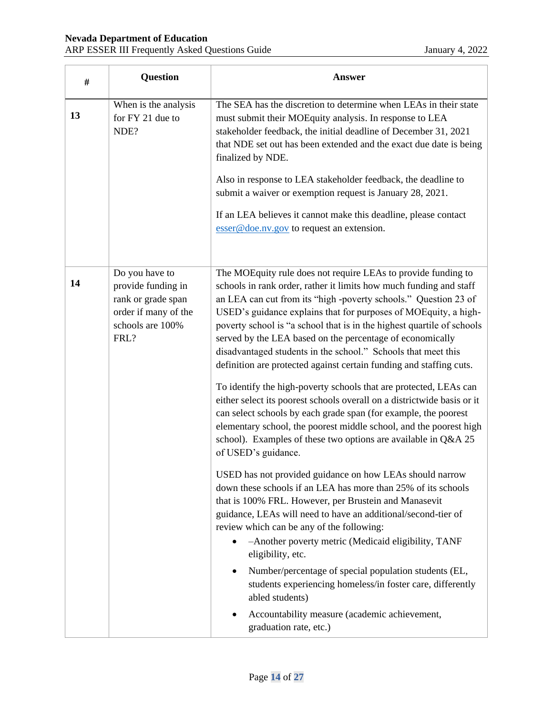| #  | <b>Question</b>                                                                                                | <b>Answer</b>                                                                                                                                                                                                                                                                                                                                                                                                                                                                                                                                                                                                                                                                                                                                                                                                                                                                                                                              |
|----|----------------------------------------------------------------------------------------------------------------|--------------------------------------------------------------------------------------------------------------------------------------------------------------------------------------------------------------------------------------------------------------------------------------------------------------------------------------------------------------------------------------------------------------------------------------------------------------------------------------------------------------------------------------------------------------------------------------------------------------------------------------------------------------------------------------------------------------------------------------------------------------------------------------------------------------------------------------------------------------------------------------------------------------------------------------------|
| 13 | When is the analysis<br>for FY 21 due to<br>NDE?                                                               | The SEA has the discretion to determine when LEAs in their state<br>must submit their MOEquity analysis. In response to LEA<br>stakeholder feedback, the initial deadline of December 31, 2021<br>that NDE set out has been extended and the exact due date is being<br>finalized by NDE.<br>Also in response to LEA stakeholder feedback, the deadline to                                                                                                                                                                                                                                                                                                                                                                                                                                                                                                                                                                                 |
|    |                                                                                                                | submit a waiver or exemption request is January 28, 2021.<br>If an LEA believes it cannot make this deadline, please contact<br>$\frac{f}{f}$ esser @ doe.nv.gov to request an extension.                                                                                                                                                                                                                                                                                                                                                                                                                                                                                                                                                                                                                                                                                                                                                  |
| 14 | Do you have to<br>provide funding in<br>rank or grade span<br>order if many of the<br>schools are 100%<br>FRL? | The MOEquity rule does not require LEAs to provide funding to<br>schools in rank order, rather it limits how much funding and staff<br>an LEA can cut from its "high -poverty schools." Question 23 of<br>USED's guidance explains that for purposes of MOEquity, a high-<br>poverty school is "a school that is in the highest quartile of schools<br>served by the LEA based on the percentage of economically<br>disadvantaged students in the school." Schools that meet this<br>definition are protected against certain funding and staffing cuts.<br>To identify the high-poverty schools that are protected, LEAs can<br>either select its poorest schools overall on a districtwide basis or it<br>can select schools by each grade span (for example, the poorest<br>elementary school, the poorest middle school, and the poorest high<br>school). Examples of these two options are available in Q&A 25<br>of USED's guidance. |
|    |                                                                                                                | USED has not provided guidance on how LEAs should narrow<br>down these schools if an LEA has more than 25% of its schools<br>that is 100% FRL. However, per Brustein and Manasevit<br>guidance, LEAs will need to have an additional/second-tier of<br>review which can be any of the following:<br>-Another poverty metric (Medicaid eligibility, TANF<br>eligibility, etc.<br>Number/percentage of special population students (EL,<br>students experiencing homeless/in foster care, differently<br>abled students)<br>Accountability measure (academic achievement,<br>graduation rate, etc.)                                                                                                                                                                                                                                                                                                                                          |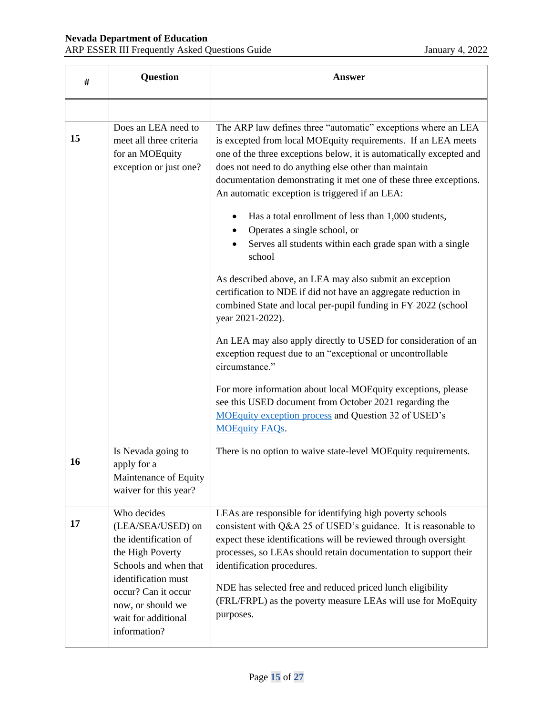| #         | <b>Question</b>                                                                                                                                                                                                  | <b>Answer</b>                                                                                                                                                                                                                                                                                                                                                                                                                                                                                                                                                                                                                                                                                                                                                                                                                                                                                                                                                                                                                           |
|-----------|------------------------------------------------------------------------------------------------------------------------------------------------------------------------------------------------------------------|-----------------------------------------------------------------------------------------------------------------------------------------------------------------------------------------------------------------------------------------------------------------------------------------------------------------------------------------------------------------------------------------------------------------------------------------------------------------------------------------------------------------------------------------------------------------------------------------------------------------------------------------------------------------------------------------------------------------------------------------------------------------------------------------------------------------------------------------------------------------------------------------------------------------------------------------------------------------------------------------------------------------------------------------|
|           | Does an LEA need to                                                                                                                                                                                              | The ARP law defines three "automatic" exceptions where an LEA                                                                                                                                                                                                                                                                                                                                                                                                                                                                                                                                                                                                                                                                                                                                                                                                                                                                                                                                                                           |
| 15        | meet all three criteria<br>for an MOEquity<br>exception or just one?                                                                                                                                             | is excepted from local MOEquity requirements. If an LEA meets<br>one of the three exceptions below, it is automatically excepted and<br>does not need to do anything else other than maintain<br>documentation demonstrating it met one of these three exceptions.<br>An automatic exception is triggered if an LEA:<br>Has a total enrollment of less than 1,000 students,<br>Operates a single school, or<br>Serves all students within each grade span with a single<br>school<br>As described above, an LEA may also submit an exception<br>certification to NDE if did not have an aggregate reduction in<br>combined State and local per-pupil funding in FY 2022 (school<br>year 2021-2022).<br>An LEA may also apply directly to USED for consideration of an<br>exception request due to an "exceptional or uncontrollable<br>circumstance."<br>For more information about local MOEquity exceptions, please<br>see this USED document from October 2021 regarding the<br>MOEquity exception process and Question 32 of USED's |
|           |                                                                                                                                                                                                                  | <b>MOEquity FAQs.</b>                                                                                                                                                                                                                                                                                                                                                                                                                                                                                                                                                                                                                                                                                                                                                                                                                                                                                                                                                                                                                   |
| <b>16</b> | Is Nevada going to<br>apply for a<br>Maintenance of Equity<br>waiver for this year?                                                                                                                              | There is no option to waive state-level MOEquity requirements.                                                                                                                                                                                                                                                                                                                                                                                                                                                                                                                                                                                                                                                                                                                                                                                                                                                                                                                                                                          |
| 17        | Who decides<br>(LEA/SEA/USED) on<br>the identification of<br>the High Poverty<br>Schools and when that<br>identification must<br>occur? Can it occur<br>now, or should we<br>wait for additional<br>information? | LEAs are responsible for identifying high poverty schools<br>consistent with Q&A 25 of USED's guidance. It is reasonable to<br>expect these identifications will be reviewed through oversight<br>processes, so LEAs should retain documentation to support their<br>identification procedures.<br>NDE has selected free and reduced priced lunch eligibility<br>(FRL/FRPL) as the poverty measure LEAs will use for MoEquity<br>purposes.                                                                                                                                                                                                                                                                                                                                                                                                                                                                                                                                                                                              |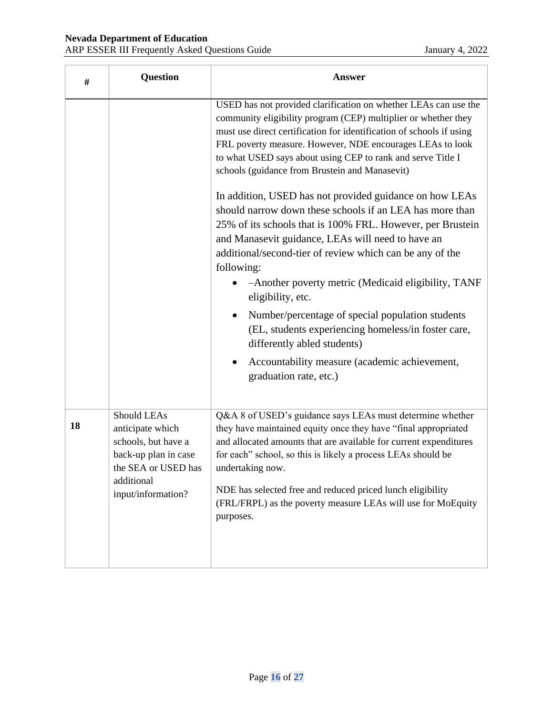| #  | Question                                                                                                                                  | <b>Answer</b>                                                                                                                                                                                                                                                                                                                                                                                                                                                                                                                                       |
|----|-------------------------------------------------------------------------------------------------------------------------------------------|-----------------------------------------------------------------------------------------------------------------------------------------------------------------------------------------------------------------------------------------------------------------------------------------------------------------------------------------------------------------------------------------------------------------------------------------------------------------------------------------------------------------------------------------------------|
|    |                                                                                                                                           | USED has not provided clarification on whether LEAs can use the<br>community eligibility program (CEP) multiplier or whether they<br>must use direct certification for identification of schools if using<br>FRL poverty measure. However, NDE encourages LEAs to look<br>to what USED says about using CEP to rank and serve Title I<br>schools (guidance from Brustein and Manasevit)                                                                                                                                                             |
|    |                                                                                                                                           | In addition, USED has not provided guidance on how LEAs<br>should narrow down these schools if an LEA has more than<br>25% of its schools that is 100% FRL. However, per Brustein<br>and Manasevit guidance, LEAs will need to have an<br>additional/second-tier of review which can be any of the<br>following:<br>-Another poverty metric (Medicaid eligibility, TANF<br>eligibility, etc.<br>Number/percentage of special population students<br>$\bullet$<br>(EL, students experiencing homeless/in foster care,<br>differently abled students) |
|    |                                                                                                                                           | Accountability measure (academic achievement,<br>graduation rate, etc.)                                                                                                                                                                                                                                                                                                                                                                                                                                                                             |
| 18 | Should LEAs<br>anticipate which<br>schools, but have a<br>back-up plan in case<br>the SEA or USED has<br>additional<br>input/information? | Q&A 8 of USED's guidance says LEAs must determine whether<br>they have maintained equity once they have "final appropriated<br>and allocated amounts that are available for current expenditures<br>for each" school, so this is likely a process LEAs should be<br>undertaking now.<br>NDE has selected free and reduced priced lunch eligibility<br>(FRL/FRPL) as the poverty measure LEAs will use for MoEquity<br>purposes.                                                                                                                     |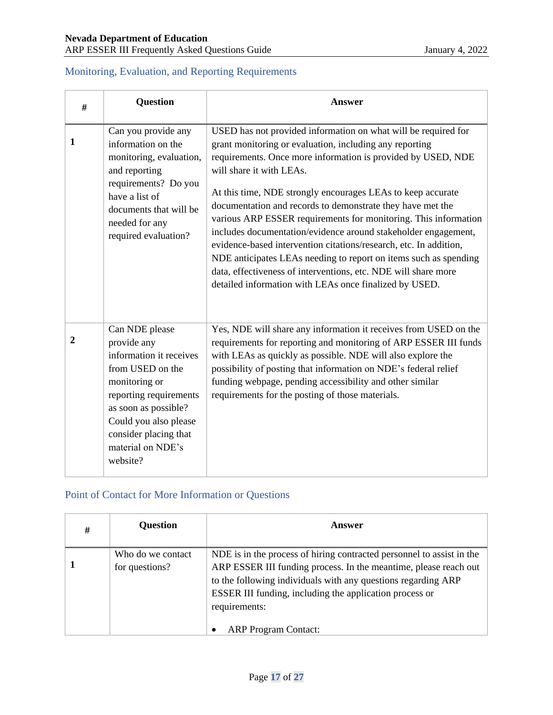#### <span id="page-16-0"></span>Monitoring, Evaluation, and Reporting Requirements

| #              | <b>Question</b>                                                                                                                                                                                                                    | <b>Answer</b>                                                                                                                                                                                                                                                                                                                                                                                                                                                                                                                                                                                                                                                                                                                                                |
|----------------|------------------------------------------------------------------------------------------------------------------------------------------------------------------------------------------------------------------------------------|--------------------------------------------------------------------------------------------------------------------------------------------------------------------------------------------------------------------------------------------------------------------------------------------------------------------------------------------------------------------------------------------------------------------------------------------------------------------------------------------------------------------------------------------------------------------------------------------------------------------------------------------------------------------------------------------------------------------------------------------------------------|
| 1              | Can you provide any<br>information on the<br>monitoring, evaluation,<br>and reporting<br>requirements? Do you<br>have a list of<br>documents that will be<br>needed for any<br>required evaluation?                                | USED has not provided information on what will be required for<br>grant monitoring or evaluation, including any reporting<br>requirements. Once more information is provided by USED, NDE<br>will share it with LEAs.<br>At this time, NDE strongly encourages LEAs to keep accurate<br>documentation and records to demonstrate they have met the<br>various ARP ESSER requirements for monitoring. This information<br>includes documentation/evidence around stakeholder engagement,<br>evidence-based intervention citations/research, etc. In addition,<br>NDE anticipates LEAs needing to report on items such as spending<br>data, effectiveness of interventions, etc. NDE will share more<br>detailed information with LEAs once finalized by USED. |
| $\overline{2}$ | Can NDE please<br>provide any<br>information it receives<br>from USED on the<br>monitoring or<br>reporting requirements<br>as soon as possible?<br>Could you also please<br>consider placing that<br>material on NDE's<br>website? | Yes, NDE will share any information it receives from USED on the<br>requirements for reporting and monitoring of ARP ESSER III funds<br>with LEAs as quickly as possible. NDE will also explore the<br>possibility of posting that information on NDE's federal relief<br>funding webpage, pending accessibility and other similar<br>requirements for the posting of those materials.                                                                                                                                                                                                                                                                                                                                                                       |

### <span id="page-16-1"></span>Point of Contact for More Information or Questions

| # | <b>Question</b>                     | Answer                                                                                                                                                                                                                                                                                                                |
|---|-------------------------------------|-----------------------------------------------------------------------------------------------------------------------------------------------------------------------------------------------------------------------------------------------------------------------------------------------------------------------|
|   | Who do we contact<br>for questions? | NDE is in the process of hiring contracted personnel to assist in the<br>ARP ESSER III funding process. In the meantime, please reach out<br>to the following individuals with any questions regarding ARP<br>ESSER III funding, including the application process or<br>requirements:<br><b>ARP Program Contact:</b> |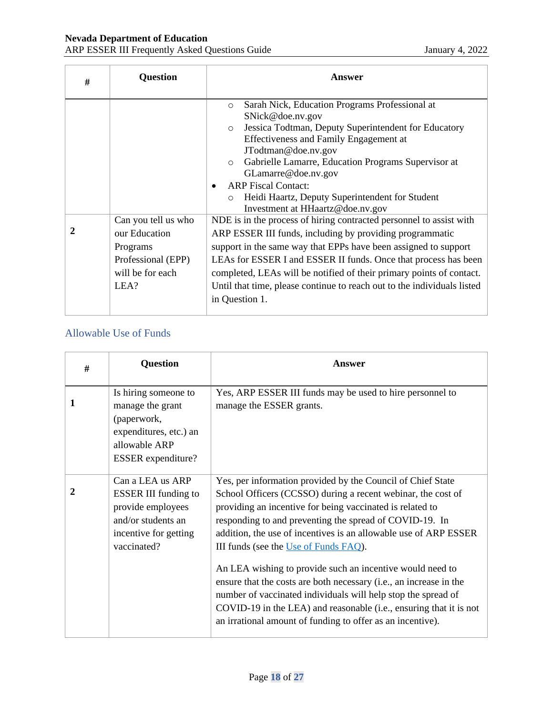| # | <b>Question</b>                                                                                    | Answer                                                                                                                                                                                                                                                                                                                                                                                                                                     |
|---|----------------------------------------------------------------------------------------------------|--------------------------------------------------------------------------------------------------------------------------------------------------------------------------------------------------------------------------------------------------------------------------------------------------------------------------------------------------------------------------------------------------------------------------------------------|
|   |                                                                                                    | Sarah Nick, Education Programs Professional at<br>$\circ$<br>SNick@doe.nv.gov<br>Jessica Todtman, Deputy Superintendent for Educatory<br>$\circ$<br>Effectiveness and Family Engagement at<br>JTodtman@doe.nv.gov<br>Gabrielle Lamarre, Education Programs Supervisor at<br>GLamarre@doe.nv.gov<br><b>ARP</b> Fiscal Contact:<br>Heidi Haartz, Deputy Superintendent for Student<br>$\circ$<br>Investment at HHaartz@doe.nv.gov            |
|   | Can you tell us who<br>our Education<br>Programs<br>Professional (EPP)<br>will be for each<br>LEA? | NDE is in the process of hiring contracted personnel to assist with<br>ARP ESSER III funds, including by providing programmatic<br>support in the same way that EPPs have been assigned to support<br>LEAs for ESSER I and ESSER II funds. Once that process has been<br>completed, LEAs will be notified of their primary points of contact.<br>Until that time, please continue to reach out to the individuals listed<br>in Question 1. |

#### <span id="page-17-0"></span>Allowable Use of Funds

| # | <b>Question</b>                                                                                                                    | Answer                                                                                                                                                                                                                                                                                                                                                           |
|---|------------------------------------------------------------------------------------------------------------------------------------|------------------------------------------------------------------------------------------------------------------------------------------------------------------------------------------------------------------------------------------------------------------------------------------------------------------------------------------------------------------|
|   | Is hiring someone to<br>manage the grant<br>(paperwork,<br>expenditures, etc.) an<br>allowable ARP<br><b>ESSER</b> expenditure?    | Yes, ARP ESSER III funds may be used to hire personnel to<br>manage the ESSER grants.                                                                                                                                                                                                                                                                            |
|   | Can a LEA us ARP<br><b>ESSER III funding to</b><br>provide employees<br>and/or students an<br>incentive for getting<br>vaccinated? | Yes, per information provided by the Council of Chief State<br>School Officers (CCSSO) during a recent webinar, the cost of<br>providing an incentive for being vaccinated is related to<br>responding to and preventing the spread of COVID-19. In<br>addition, the use of incentives is an allowable use of ARP ESSER<br>III funds (see the Use of Funds FAQ). |
|   |                                                                                                                                    | An LEA wishing to provide such an incentive would need to<br>ensure that the costs are both necessary (i.e., an increase in the<br>number of vaccinated individuals will help stop the spread of<br>COVID-19 in the LEA) and reasonable (i.e., ensuring that it is not<br>an irrational amount of funding to offer as an incentive).                             |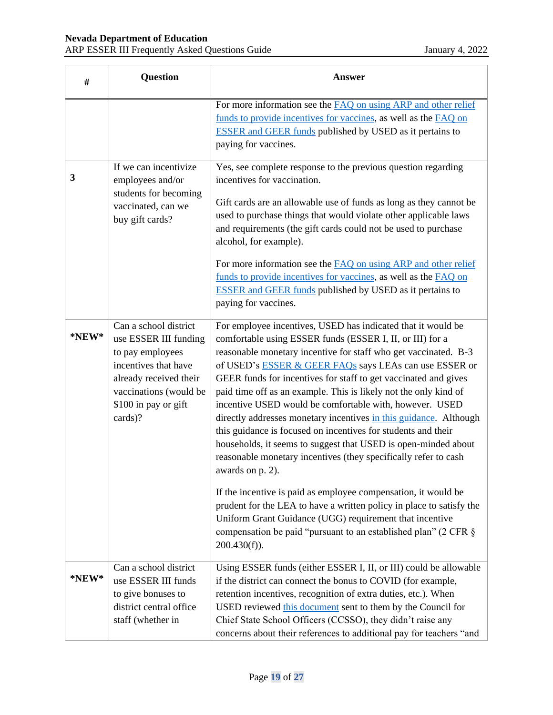| #           | <b>Question</b>                                                                                                                                                                   | <b>Answer</b>                                                                                                                                                                                                                                                                                                                                                                                                                                                                                                                                                                                                                                                                                                                                                                                                                                                                                                                                                                                                                                                    |
|-------------|-----------------------------------------------------------------------------------------------------------------------------------------------------------------------------------|------------------------------------------------------------------------------------------------------------------------------------------------------------------------------------------------------------------------------------------------------------------------------------------------------------------------------------------------------------------------------------------------------------------------------------------------------------------------------------------------------------------------------------------------------------------------------------------------------------------------------------------------------------------------------------------------------------------------------------------------------------------------------------------------------------------------------------------------------------------------------------------------------------------------------------------------------------------------------------------------------------------------------------------------------------------|
|             |                                                                                                                                                                                   | For more information see the <b>FAQ</b> on using ARP and other relief<br>funds to provide incentives for vaccines, as well as the FAQ on<br><b>ESSER</b> and GEER funds published by USED as it pertains to<br>paying for vaccines.                                                                                                                                                                                                                                                                                                                                                                                                                                                                                                                                                                                                                                                                                                                                                                                                                              |
| 3           | If we can incentivize<br>employees and/or<br>students for becoming<br>vaccinated, can we<br>buy gift cards?                                                                       | Yes, see complete response to the previous question regarding<br>incentives for vaccination.<br>Gift cards are an allowable use of funds as long as they cannot be<br>used to purchase things that would violate other applicable laws<br>and requirements (the gift cards could not be used to purchase<br>alcohol, for example).<br>For more information see the <b>FAQ</b> on using ARP and other relief<br>funds to provide incentives for vaccines, as well as the FAQ on<br><b>ESSER</b> and GEER funds published by USED as it pertains to<br>paying for vaccines.                                                                                                                                                                                                                                                                                                                                                                                                                                                                                        |
| *NEW*       | Can a school district<br>use ESSER III funding<br>to pay employees<br>incentives that have<br>already received their<br>vaccinations (would be<br>\$100 in pay or gift<br>cards)? | For employee incentives, USED has indicated that it would be<br>comfortable using ESSER funds (ESSER I, II, or III) for a<br>reasonable monetary incentive for staff who get vaccinated. B-3<br>of USED's <b>ESSER &amp; GEER FAQs</b> says LEAs can use ESSER or<br>GEER funds for incentives for staff to get vaccinated and gives<br>paid time off as an example. This is likely not the only kind of<br>incentive USED would be comfortable with, however. USED<br>directly addresses monetary incentives in this guidance. Although<br>this guidance is focused on incentives for students and their<br>households, it seems to suggest that USED is open-minded about<br>reasonable monetary incentives (they specifically refer to cash<br>awards on p. 2).<br>If the incentive is paid as employee compensation, it would be<br>prudent for the LEA to have a written policy in place to satisfy the<br>Uniform Grant Guidance (UGG) requirement that incentive<br>compensation be paid "pursuant to an established plan" (2 CFR $\S$<br>$200.430(f)$ ). |
| $*$ NEW $*$ | Can a school district<br>use ESSER III funds<br>to give bonuses to<br>district central office<br>staff (whether in                                                                | Using ESSER funds (either ESSER I, II, or III) could be allowable<br>if the district can connect the bonus to COVID (for example,<br>retention incentives, recognition of extra duties, etc.). When<br>USED reviewed this document sent to them by the Council for<br>Chief State School Officers (CCSSO), they didn't raise any<br>concerns about their references to additional pay for teachers "and                                                                                                                                                                                                                                                                                                                                                                                                                                                                                                                                                                                                                                                          |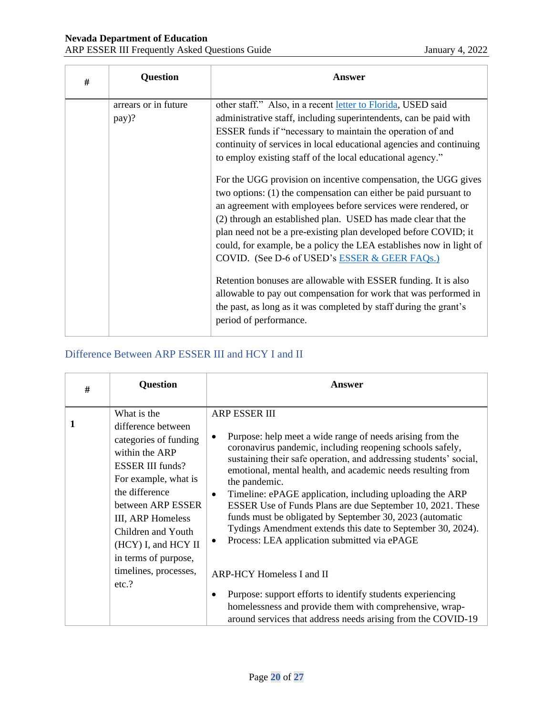| # | <b>Question</b>               | Answer                                                                                                                                                                                                                                                                                                                                                                                                                                                                                                                                                                                                                                                                                                                                                                                                                                                                                                                                                                                                                                       |
|---|-------------------------------|----------------------------------------------------------------------------------------------------------------------------------------------------------------------------------------------------------------------------------------------------------------------------------------------------------------------------------------------------------------------------------------------------------------------------------------------------------------------------------------------------------------------------------------------------------------------------------------------------------------------------------------------------------------------------------------------------------------------------------------------------------------------------------------------------------------------------------------------------------------------------------------------------------------------------------------------------------------------------------------------------------------------------------------------|
|   | arrears or in future<br>pay)? | other staff." Also, in a recent letter to Florida, USED said<br>administrative staff, including superintendents, can be paid with<br>ESSER funds if "necessary to maintain the operation of and<br>continuity of services in local educational agencies and continuing<br>to employ existing staff of the local educational agency."<br>For the UGG provision on incentive compensation, the UGG gives<br>two options: (1) the compensation can either be paid pursuant to<br>an agreement with employees before services were rendered, or<br>(2) through an established plan. USED has made clear that the<br>plan need not be a pre-existing plan developed before COVID; it<br>could, for example, be a policy the LEA establishes now in light of<br>COVID. (See D-6 of USED's ESSER & GEER FAQs.)<br>Retention bonuses are allowable with ESSER funding. It is also<br>allowable to pay out compensation for work that was performed in<br>the past, as long as it was completed by staff during the grant's<br>period of performance. |

### <span id="page-19-0"></span>Difference Between ARP ESSER III and HCY I and II

| # | <b>Question</b>                                                                                                                                                                                                                                                      | Answer                                                                                                                                                                                                                                                                                                                                                                                                                                                                                                                                                                                                                                          |
|---|----------------------------------------------------------------------------------------------------------------------------------------------------------------------------------------------------------------------------------------------------------------------|-------------------------------------------------------------------------------------------------------------------------------------------------------------------------------------------------------------------------------------------------------------------------------------------------------------------------------------------------------------------------------------------------------------------------------------------------------------------------------------------------------------------------------------------------------------------------------------------------------------------------------------------------|
|   | What is the<br>difference between<br>categories of funding<br>within the ARP<br><b>ESSER III funds?</b><br>For example, what is<br>the difference<br>between ARP ESSER<br>III, ARP Homeless<br>Children and Youth<br>$(HCY)$ I, and $HCY$ II<br>in terms of purpose, | <b>ARP ESSER III</b><br>Purpose: help meet a wide range of needs arising from the<br>$\bullet$<br>coronavirus pandemic, including reopening schools safely,<br>sustaining their safe operation, and addressing students' social,<br>emotional, mental health, and academic needs resulting from<br>the pandemic.<br>Timeline: ePAGE application, including uploading the ARP<br>$\bullet$<br>ESSER Use of Funds Plans are due September 10, 2021. These<br>funds must be obligated by September 30, 2023 (automatic<br>Tydings Amendment extends this date to September 30, 2024).<br>Process: LEA application submitted via ePAGE<br>$\bullet$ |
|   | timelines, processes,<br>etc.?                                                                                                                                                                                                                                       | ARP-HCY Homeless I and II<br>Purpose: support efforts to identify students experiencing<br>$\bullet$<br>homelessness and provide them with comprehensive, wrap-<br>around services that address needs arising from the COVID-19                                                                                                                                                                                                                                                                                                                                                                                                                 |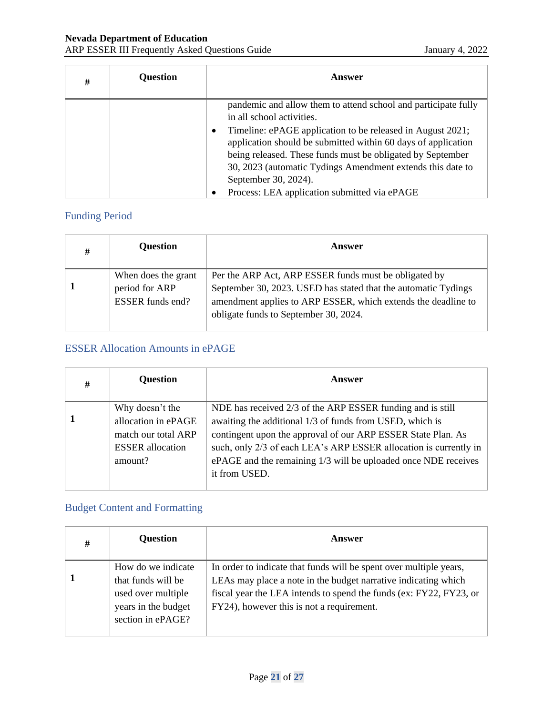| # | <b>Question</b> | Answer                                                                                                                                                                                                                                                                               |
|---|-----------------|--------------------------------------------------------------------------------------------------------------------------------------------------------------------------------------------------------------------------------------------------------------------------------------|
|   |                 | pandemic and allow them to attend school and participate fully<br>in all school activities.                                                                                                                                                                                          |
|   |                 | Timeline: ePAGE application to be released in August 2021;<br>٠<br>application should be submitted within 60 days of application<br>being released. These funds must be obligated by September<br>30, 2023 (automatic Tydings Amendment extends this date to<br>September 30, 2024). |
|   |                 | Process: LEA application submitted via ePAGE                                                                                                                                                                                                                                         |

### <span id="page-20-0"></span>Funding Period

| # | <b>Question</b>                                                  | Answer                                                                                                                                                                                                                            |
|---|------------------------------------------------------------------|-----------------------------------------------------------------------------------------------------------------------------------------------------------------------------------------------------------------------------------|
|   | When does the grant<br>period for ARP<br><b>ESSER</b> funds end? | Per the ARP Act, ARP ESSER funds must be obligated by<br>September 30, 2023. USED has stated that the automatic Tydings<br>amendment applies to ARP ESSER, which extends the deadline to<br>obligate funds to September 30, 2024. |

#### <span id="page-20-1"></span>ESSER Allocation Amounts in ePAGE

| # | <b>Question</b>                                           | Answer                                                                                                                                                                                                               |
|---|-----------------------------------------------------------|----------------------------------------------------------------------------------------------------------------------------------------------------------------------------------------------------------------------|
|   | Why doesn't the<br>allocation in ePAGE                    | NDE has received 2/3 of the ARP ESSER funding and is still<br>awaiting the additional 1/3 of funds from USED, which is                                                                                               |
|   | match our total ARP<br><b>ESSER</b> allocation<br>amount? | contingent upon the approval of our ARP ESSER State Plan. As<br>such, only 2/3 of each LEA's ARP ESSER allocation is currently in<br>ePAGE and the remaining 1/3 will be uploaded once NDE receives<br>it from USED. |

#### <span id="page-20-2"></span>Budget Content and Formatting

| # | <b>Question</b>                                                                                            | Answer                                                                                                                                                                                                                                                  |
|---|------------------------------------------------------------------------------------------------------------|---------------------------------------------------------------------------------------------------------------------------------------------------------------------------------------------------------------------------------------------------------|
|   | How do we indicate<br>that funds will be<br>used over multiple<br>years in the budget<br>section in ePAGE? | In order to indicate that funds will be spent over multiple years,<br>LEAs may place a note in the budget narrative indicating which<br>fiscal year the LEA intends to spend the funds (ex: FY22, FY23, or<br>FY24), however this is not a requirement. |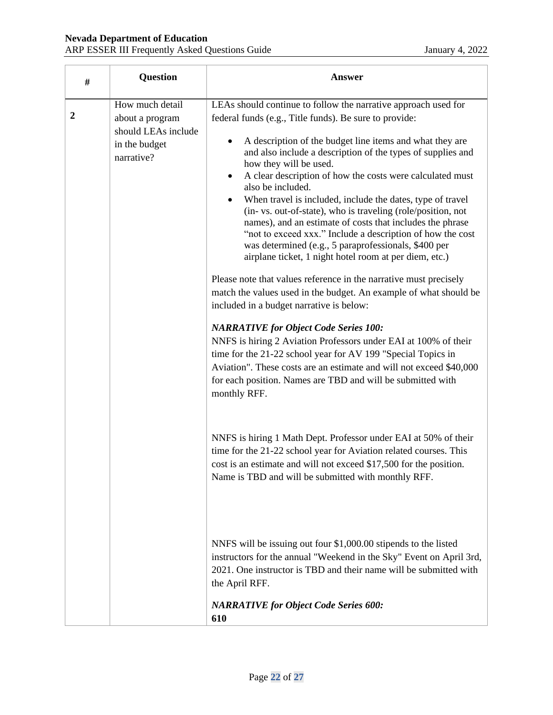| #                | <b>Question</b>                                                                          | <b>Answer</b>                                                                                                                                                                                                                                                                                                                                                                                                                                                                                                                                                                                                                                                                                                                                                                                                                                                                                                                                                                                                                                                                                                                                                                                                                                                                          |
|------------------|------------------------------------------------------------------------------------------|----------------------------------------------------------------------------------------------------------------------------------------------------------------------------------------------------------------------------------------------------------------------------------------------------------------------------------------------------------------------------------------------------------------------------------------------------------------------------------------------------------------------------------------------------------------------------------------------------------------------------------------------------------------------------------------------------------------------------------------------------------------------------------------------------------------------------------------------------------------------------------------------------------------------------------------------------------------------------------------------------------------------------------------------------------------------------------------------------------------------------------------------------------------------------------------------------------------------------------------------------------------------------------------|
| $\boldsymbol{2}$ | How much detail<br>about a program<br>should LEAs include<br>in the budget<br>narrative? | LEAs should continue to follow the narrative approach used for<br>federal funds (e.g., Title funds). Be sure to provide:<br>A description of the budget line items and what they are<br>and also include a description of the types of supplies and<br>how they will be used.<br>A clear description of how the costs were calculated must<br>$\bullet$<br>also be included.<br>When travel is included, include the dates, type of travel<br>(in- vs. out-of-state), who is traveling (role/position, not<br>names), and an estimate of costs that includes the phrase<br>"not to exceed xxx." Include a description of how the cost<br>was determined (e.g., 5 paraprofessionals, \$400 per<br>airplane ticket, 1 night hotel room at per diem, etc.)<br>Please note that values reference in the narrative must precisely<br>match the values used in the budget. An example of what should be<br>included in a budget narrative is below:<br><b>NARRATIVE for Object Code Series 100:</b><br>NNFS is hiring 2 Aviation Professors under EAI at 100% of their<br>time for the 21-22 school year for AV 199 "Special Topics in<br>Aviation". These costs are an estimate and will not exceed \$40,000<br>for each position. Names are TBD and will be submitted with<br>monthly RFF. |
|                  |                                                                                          | NNFS is hiring 1 Math Dept. Professor under EAI at 50% of their<br>time for the 21-22 school year for Aviation related courses. This<br>cost is an estimate and will not exceed \$17,500 for the position.<br>Name is TBD and will be submitted with monthly RFF.<br>NNFS will be issuing out four \$1,000.00 stipends to the listed<br>instructors for the annual "Weekend in the Sky" Event on April 3rd,<br>2021. One instructor is TBD and their name will be submitted with<br>the April RFF.<br><b>NARRATIVE for Object Code Series 600:</b><br>610                                                                                                                                                                                                                                                                                                                                                                                                                                                                                                                                                                                                                                                                                                                              |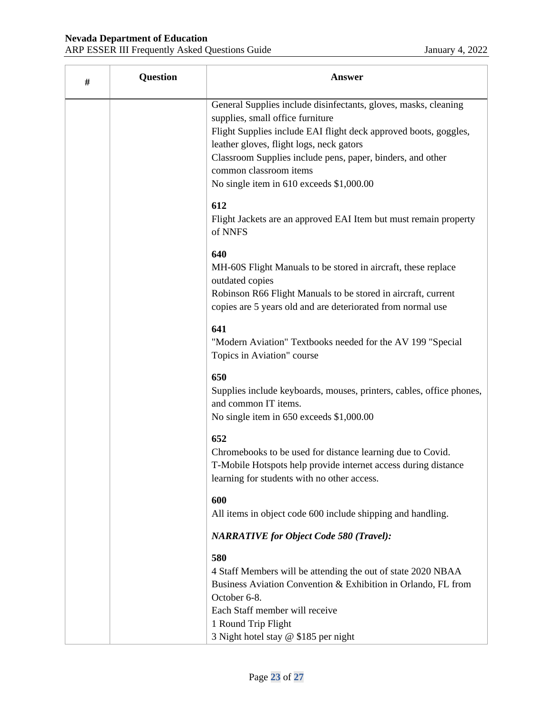| # | <b>Question</b> | Answer                                                                                                                                                                                                                                                                                                                                                         |
|---|-----------------|----------------------------------------------------------------------------------------------------------------------------------------------------------------------------------------------------------------------------------------------------------------------------------------------------------------------------------------------------------------|
|   |                 | General Supplies include disinfectants, gloves, masks, cleaning<br>supplies, small office furniture<br>Flight Supplies include EAI flight deck approved boots, goggles,<br>leather gloves, flight logs, neck gators<br>Classroom Supplies include pens, paper, binders, and other<br>common classroom items<br>No single item in 610 exceeds \$1,000.00<br>612 |
|   |                 | Flight Jackets are an approved EAI Item but must remain property<br>of NNFS                                                                                                                                                                                                                                                                                    |
|   |                 | 640<br>MH-60S Flight Manuals to be stored in aircraft, these replace<br>outdated copies<br>Robinson R66 Flight Manuals to be stored in aircraft, current                                                                                                                                                                                                       |
|   |                 | copies are 5 years old and are deteriorated from normal use                                                                                                                                                                                                                                                                                                    |
|   |                 | 641<br>"Modern Aviation" Textbooks needed for the AV 199 "Special<br>Topics in Aviation" course                                                                                                                                                                                                                                                                |
|   |                 | 650<br>Supplies include keyboards, mouses, printers, cables, office phones,<br>and common IT items.<br>No single item in 650 exceeds \$1,000.00                                                                                                                                                                                                                |
|   |                 | 652<br>Chromebooks to be used for distance learning due to Covid.<br>T-Mobile Hotspots help provide internet access during distance<br>learning for students with no other access.                                                                                                                                                                             |
|   |                 | 600<br>All items in object code 600 include shipping and handling.                                                                                                                                                                                                                                                                                             |
|   |                 | <b>NARRATIVE for Object Code 580 (Travel):</b>                                                                                                                                                                                                                                                                                                                 |
|   |                 | 580<br>4 Staff Members will be attending the out of state 2020 NBAA<br>Business Aviation Convention & Exhibition in Orlando, FL from<br>October 6-8.<br>Each Staff member will receive                                                                                                                                                                         |
|   |                 | 1 Round Trip Flight<br>3 Night hotel stay @ \$185 per night                                                                                                                                                                                                                                                                                                    |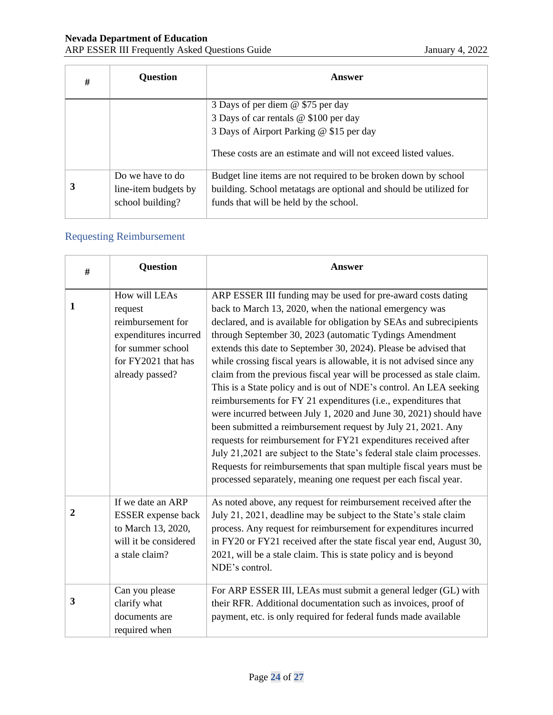| # | <b>Question</b>                          | Answer                                                                                                      |
|---|------------------------------------------|-------------------------------------------------------------------------------------------------------------|
|   |                                          | 3 Days of per diem @ \$75 per day<br>3 Days of car rentals @ \$100 per day                                  |
|   |                                          | 3 Days of Airport Parking @ \$15 per day                                                                    |
|   |                                          | These costs are an estimate and will not exceed listed values.                                              |
|   | Do we have to do                         | Budget line items are not required to be broken down by school                                              |
| 3 | line-item budgets by<br>school building? | building. School metatags are optional and should be utilized for<br>funds that will be held by the school. |
|   |                                          |                                                                                                             |

## <span id="page-23-0"></span>Requesting Reimbursement

| # | Question                                                                                                                              | <b>Answer</b>                                                                                                                                                                                                                                                                                                                                                                                                                                                                                                                                                                                                                                                                                                                                                                                                                                                                                                                                                                                                                                       |
|---|---------------------------------------------------------------------------------------------------------------------------------------|-----------------------------------------------------------------------------------------------------------------------------------------------------------------------------------------------------------------------------------------------------------------------------------------------------------------------------------------------------------------------------------------------------------------------------------------------------------------------------------------------------------------------------------------------------------------------------------------------------------------------------------------------------------------------------------------------------------------------------------------------------------------------------------------------------------------------------------------------------------------------------------------------------------------------------------------------------------------------------------------------------------------------------------------------------|
| 1 | How will LEAs<br>request<br>reimbursement for<br>expenditures incurred<br>for summer school<br>for FY2021 that has<br>already passed? | ARP ESSER III funding may be used for pre-award costs dating<br>back to March 13, 2020, when the national emergency was<br>declared, and is available for obligation by SEAs and subrecipients<br>through September 30, 2023 (automatic Tydings Amendment<br>extends this date to September 30, 2024). Please be advised that<br>while crossing fiscal years is allowable, it is not advised since any<br>claim from the previous fiscal year will be processed as stale claim.<br>This is a State policy and is out of NDE's control. An LEA seeking<br>reimbursements for FY 21 expenditures (i.e., expenditures that<br>were incurred between July 1, 2020 and June 30, 2021) should have<br>been submitted a reimbursement request by July 21, 2021. Any<br>requests for reimbursement for FY21 expenditures received after<br>July 21,2021 are subject to the State's federal stale claim processes.<br>Requests for reimbursements that span multiple fiscal years must be<br>processed separately, meaning one request per each fiscal year. |
| 2 | If we date an ARP<br>ESSER expense back<br>to March 13, 2020,<br>will it be considered<br>a stale claim?                              | As noted above, any request for reimbursement received after the<br>July 21, 2021, deadline may be subject to the State's stale claim<br>process. Any request for reimbursement for expenditures incurred<br>in FY20 or FY21 received after the state fiscal year end, August 30,<br>2021, will be a stale claim. This is state policy and is beyond<br>NDE's control.                                                                                                                                                                                                                                                                                                                                                                                                                                                                                                                                                                                                                                                                              |
| 3 | Can you please<br>clarify what<br>documents are<br>required when                                                                      | For ARP ESSER III, LEAs must submit a general ledger (GL) with<br>their RFR. Additional documentation such as invoices, proof of<br>payment, etc. is only required for federal funds made available                                                                                                                                                                                                                                                                                                                                                                                                                                                                                                                                                                                                                                                                                                                                                                                                                                                 |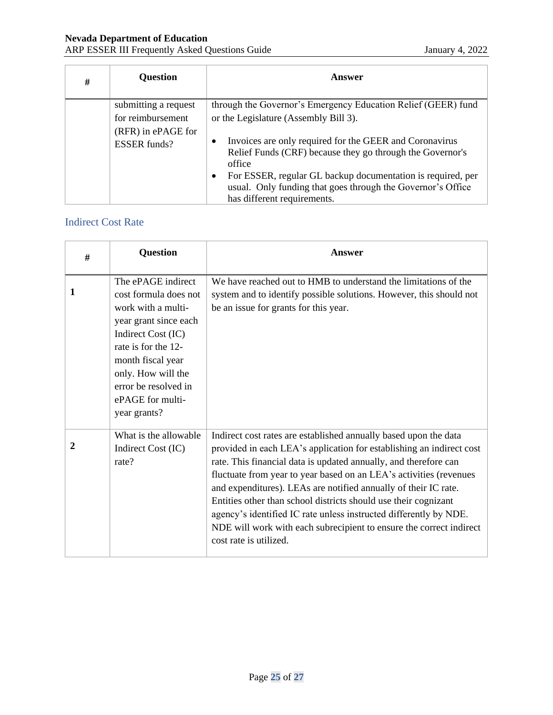| # | <b>Question</b>                           | Answer                                                                                                                                                                                                                                                                                                                |
|---|-------------------------------------------|-----------------------------------------------------------------------------------------------------------------------------------------------------------------------------------------------------------------------------------------------------------------------------------------------------------------------|
|   | submitting a request                      | through the Governor's Emergency Education Relief (GEER) fund                                                                                                                                                                                                                                                         |
|   | for reimbursement                         | or the Legislature (Assembly Bill 3).                                                                                                                                                                                                                                                                                 |
|   | (RFR) in ePAGE for<br><b>ESSER</b> funds? | Invoices are only required for the GEER and Coronavirus<br>$\bullet$<br>Relief Funds (CRF) because they go through the Governor's<br>office<br>For ESSER, regular GL backup documentation is required, per<br>$\bullet$<br>usual. Only funding that goes through the Governor's Office<br>has different requirements. |

#### <span id="page-24-0"></span>Indirect Cost Rate

| # | <b>Question</b>                                                                                                                                                                                                                                | Answer                                                                                                                                                                                                                                                                                                                                                                                                                                                                                                                                                                                         |
|---|------------------------------------------------------------------------------------------------------------------------------------------------------------------------------------------------------------------------------------------------|------------------------------------------------------------------------------------------------------------------------------------------------------------------------------------------------------------------------------------------------------------------------------------------------------------------------------------------------------------------------------------------------------------------------------------------------------------------------------------------------------------------------------------------------------------------------------------------------|
| 1 | The ePAGE indirect<br>cost formula does not<br>work with a multi-<br>year grant since each<br>Indirect Cost (IC)<br>rate is for the 12-<br>month fiscal year<br>only. How will the<br>error be resolved in<br>ePAGE for multi-<br>year grants? | We have reached out to HMB to understand the limitations of the<br>system and to identify possible solutions. However, this should not<br>be an issue for grants for this year.                                                                                                                                                                                                                                                                                                                                                                                                                |
| 2 | What is the allowable<br>Indirect Cost (IC)<br>rate?                                                                                                                                                                                           | Indirect cost rates are established annually based upon the data<br>provided in each LEA's application for establishing an indirect cost<br>rate. This financial data is updated annually, and therefore can<br>fluctuate from year to year based on an LEA's activities (revenues<br>and expenditures). LEAs are notified annually of their IC rate.<br>Entities other than school districts should use their cognizant<br>agency's identified IC rate unless instructed differently by NDE.<br>NDE will work with each subrecipient to ensure the correct indirect<br>cost rate is utilized. |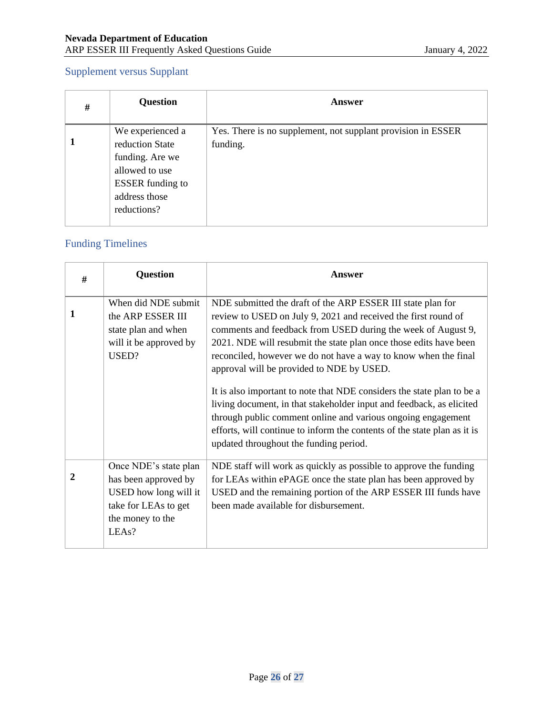## <span id="page-25-0"></span>Supplement versus Supplant

| # | <b>Question</b>                                                                                                                     | Answer                                                                   |
|---|-------------------------------------------------------------------------------------------------------------------------------------|--------------------------------------------------------------------------|
|   | We experienced a<br>reduction State<br>funding. Are we<br>allowed to use<br><b>ESSER</b> funding to<br>address those<br>reductions? | Yes. There is no supplement, not supplant provision in ESSER<br>funding. |

### <span id="page-25-1"></span>Funding Timelines

| # | <b>Question</b>                                                                                                             | Answer                                                                                                                                                                                                                                                                                                                                                                                                                                                                                                                                                                                                                                                                                                                     |
|---|-----------------------------------------------------------------------------------------------------------------------------|----------------------------------------------------------------------------------------------------------------------------------------------------------------------------------------------------------------------------------------------------------------------------------------------------------------------------------------------------------------------------------------------------------------------------------------------------------------------------------------------------------------------------------------------------------------------------------------------------------------------------------------------------------------------------------------------------------------------------|
| 1 | When did NDE submit<br>the ARP ESSER III<br>state plan and when<br>will it be approved by<br>USED?                          | NDE submitted the draft of the ARP ESSER III state plan for<br>review to USED on July 9, 2021 and received the first round of<br>comments and feedback from USED during the week of August 9,<br>2021. NDE will resubmit the state plan once those edits have been<br>reconciled, however we do not have a way to know when the final<br>approval will be provided to NDE by USED.<br>It is also important to note that NDE considers the state plan to be a<br>living document, in that stakeholder input and feedback, as elicited<br>through public comment online and various ongoing engagement<br>efforts, will continue to inform the contents of the state plan as it is<br>updated throughout the funding period. |
| 2 | Once NDE's state plan<br>has been approved by<br>USED how long will it<br>take for LEAs to get<br>the money to the<br>LEAs? | NDE staff will work as quickly as possible to approve the funding<br>for LEAs within ePAGE once the state plan has been approved by<br>USED and the remaining portion of the ARP ESSER III funds have<br>been made available for disbursement.                                                                                                                                                                                                                                                                                                                                                                                                                                                                             |